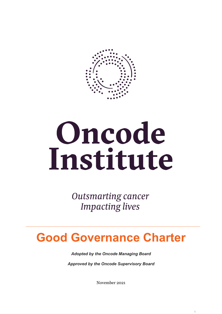

# Oncode Institute

**Outsmarting cancer Impacting lives** 

# **Good Governance Charter**

*Adopted by the Oncode Managing Board*

*Approved by the Oncode Supervisory Board* 

November 2021

1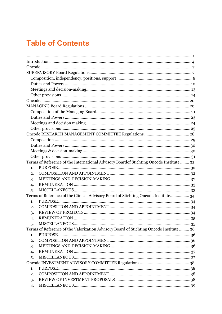# **Table of Contents**

|                | Terms of Reference of the International Advisory Boardof Stichting Oncode Institute  32 |  |
|----------------|-----------------------------------------------------------------------------------------|--|
| 1.             |                                                                                         |  |
| 2.             |                                                                                         |  |
| 3.             |                                                                                         |  |
| 4.             |                                                                                         |  |
| 5.             |                                                                                         |  |
|                | Terms of Reference of the Clinical Advisory Board of Stichting Oncode Institute 34      |  |
| 1.             |                                                                                         |  |
| 2.             |                                                                                         |  |
| 3.             |                                                                                         |  |
| $\overline{4}$ |                                                                                         |  |
| 5.             |                                                                                         |  |
|                | Terms of Reference of the Valorization Advisory Board of Stichting Oncode Institute 36  |  |
| 1.             |                                                                                         |  |
| 2.             |                                                                                         |  |
| 3.             |                                                                                         |  |
| 4.             |                                                                                         |  |
| 5.             |                                                                                         |  |
|                |                                                                                         |  |
| 1.             | PURPOSE.                                                                                |  |
| 2.             |                                                                                         |  |
| 3.             |                                                                                         |  |
| 4.             |                                                                                         |  |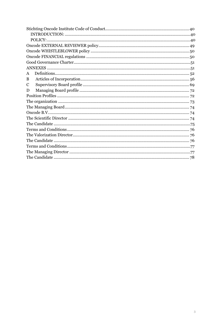| A |  |  |
|---|--|--|
| B |  |  |
| C |  |  |
| D |  |  |
|   |  |  |
|   |  |  |
|   |  |  |
|   |  |  |
|   |  |  |
|   |  |  |
|   |  |  |
|   |  |  |
|   |  |  |
|   |  |  |
|   |  |  |
|   |  |  |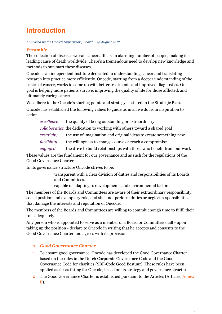# **Introduction**

*Approved by the Oncode Supervisory Board – 29 August 2017* 

#### *Preamble*

The collection of diseases we call cancer afflicts an alarming number of people, making it a leading cause of death worldwide. There's a tremendous need to develop new knowledge and methods to outsmart these diseases.

Oncode is an independent institute dedicated to understanding cancer and translating research into practice more efficiently. Oncode, starting from a deeper understanding of the basics of cancer, works to come up with better treatments and improved diagnostics. Our goal is helping more patients survive, improving the quality of life for those afflicted, and ultimately curing cancer.

We adhere to the Oncode's starting points and strategy as stated in the Strategic Plan. Oncode has established the following values to guide us in all we do from inspiration to action.

*excellence* the quality of being outstanding or extraordinary *collaboration* the dedication to working with others toward a shared goal *creativity* the use of imagination and original ideas to create something new *flexibility* the willingness to change course or reach a compromise *engaged* the drive to build relationships with those who benefit from our work

These values are the fundament for our governance and as such for the regulations of the Good Governance Charter.

In its governance structure Oncode strives to be:

- transparent with a clear division of duties and responsibilities of its Boards and Committees.
- capable of adapting to developments and environmental factors.

The members of the Boards and Committees are aware of their extraordinary responsibility, social position and exemplary role, and shall not perform duties or neglect responsibilities that damage the interests and reputation of Oncode.

The members of the Boards and Committees are willing to commit enough time to fulfil their role adequately.

Any person who is appointed to serve as a member of a Board or Committee shall - upon taking up the position - declare to Oncode in writing that he accepts and consents to the Good Governance Charter and agrees with its provisions.

#### **1.** *Good Governance Charter*

- 1. To ensure good governance, Oncode has developed the Good Governance Charter based on the rules in the Dutch Corporate Governance Code and the Good Governance Code for charities (SBF-Code Goed Bestuur). These rules have been applied as far as fitting for Oncode, based on its strategy and governance structure.
- 2. The Good Governance Charter is established pursuant to the Articles (Articles, Annex B).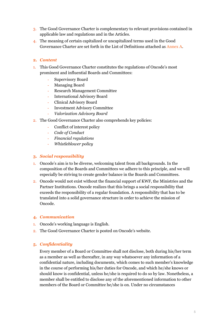- 3. The Good Governance Charter is complementary to relevant provisions contained in applicable law and regulations and in the Articles.
- 4. The meaning of certain capitalized or uncapitalized terms used in the Good Governance Charter are set forth in the List of Definitions attached as Annex A.

#### **2.** *Content*

- 1. This Good Governance Charter constitutes the regulations of Oncode's most prominent and influential Boards and Committees:
	- Supervisory Board
	- Managing Board
	- Research Management Committee
	- International Advisory Board
	- Clinical Advisory Board
	- Investment Advisory Committee
	- *Valorization Advisory Board*
- 2. The Good Governance Charter also comprehends key policies:
	- Conflict of interest policy
	- *Code of Conduct*
	- *Financial regulations*
	- *Whistleblower policy*

#### **3.** *Social responsibility*

- 1. Oncode's aim is to be diverse, welcoming talent from all backgrounds. In the composition of the Boards and Committees we adhere to this principle, and we will especially be striving to create gender balance in the Boards and Committees.
- 2. Oncode would not exist without the financial support of KWF, the Ministries and the Partner Institutions. Oncode realizes that this brings a social responsibility that exceeds the responsibility of a regular foundation. A responsibility that has to be translated into a solid governance structure in order to achieve the mission of Oncode.

#### **4.** *Communication*

- 1. Oncode's working language is English.
- 2. The Good Governance Charter is posted on Oncode's website.

#### **5.** *Confidentiality*

Every member of a Board or Committee shall not disclose, both during his/her term as a member as well as thereafter, in any way whatsoever any information of a confidential nature, including documents, which comes to such member's knowledge in the course of performing his/her duties for Oncode, and which he/she knows or should know is confidential, unless he/she is required to do so by law. Nonetheless, a member shall be entitled to disclose any of the aforementioned information to other members of the Board or Committee he/she is on. Under no circumstances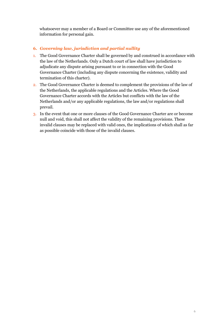whatsoever may a member of a Board or Committee use any of the aforementioned information for personal gain.

#### **6.** *Governing law, jurisdiction and partial nullity*

- 1. The Good Governance Charter shall be governed by and construed in accordance with the law of the Netherlands. Only a Dutch court of law shall have jurisdiction to adjudicate any dispute arising pursuant to or in connection with the Good Governance Charter (including any dispute concerning the existence, validity and termination of this charter).
- 2. The Good Governance Charter is deemed to complement the provisions of the law of the Netherlands, the applicable regulations and the Articles. Where the Good Governance Charter accords with the Articles but conflicts with the law of the Netherlands and/or any applicable regulations, the law and/or regulations shall prevail.
- 3. In the event that one or more clauses of the Good Governance Charter are or become null and void, this shall not affect the validity of the remaining provisions. These invalid clauses may be replaced with valid ones, the implications of which shall as far as possible coincide with those of the invalid clauses.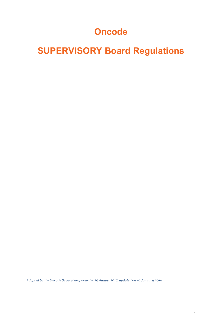# **Oncode**

# **SUPERVISORY Board Regulations**

*Adopted by the Oncode Supervisory Board – 29 August 2017, updated on 16 January 2018*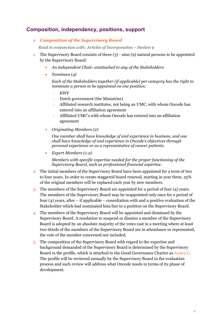# **Composition, independency, positions, support**

**1.** *Composition of the Supervisory Board*

*Read in conjunction with: Articles of Incorporation – Section 9*

- 1. The Supervisory Board consists of three (3) nine (9) natural persons to be appointed by the Supervisory Board:
	- *An independent Chair, unattached to any of the Stakeholders*
	- *Nominees (4)*

*Each of the Stakeholders together (if applicable) per category has the right to nominate a person to be appointed on one position:*

- KWF
- Dutch government (the Ministries)
- Affiliated research institutes, not being an UMC, with whom Oncode has entered into an affiliation agreement
- Affiliated UMC's with whom Oncode has entered into an affiliation agreement
- *Originating Members (2)*

*One member shall have knowledge of and experience in business, and one shall have knowledge of and experience in Oncode's objectives through personal experience or as a representative of cancer patients.*

• *Expert Members (1-2)* 

*Members with specific expertise needed for the proper functioning of the Supervisory Board, such as professional financial expertise.* 

- 2. The initial members of the Supervisory Board have been appointed for a term of two to four years. In order to create staggered board renewal, starting in year three, 25% of the original members will be replaced each year by new members.
- 3. The members of the Supervisory Board are appointed for a period of four (4) years. The members of the Supervisory Board may be reappointed only once for a period of four  $(4)$  years, after – if applicable – consultation with and a positive evaluation of the Stakeholder which had nominated him/her to a position on the Supervisory Board.
- 4. The members of the Supervisory Board will be appointed and dismissed by the Supervisory Board. A resolution to suspend or dismiss a member of the Supervisory Board is adopted by an absolute majority of the votes cast in a meeting where at least two-thirds of the members of the Supervisory Board are in attendance or represented, the vote of the member concerned not included.
- 5. The composition of the Supervisory Board with regard to the expertise and background demanded of the Supervisory Board is determined by the Supervisory Board in the profile, which is attached to the Good Governance Charter as Annex C. The profile will be reviewed annually by the Supervisory Board in the evaluation process and such review will address what Oncode needs in terms of its phase of development.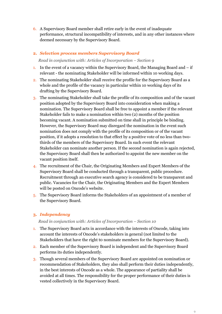6. A Supervisory Board member shall retire early in the event of inadequate performance, structural incompatibility of interests, and in any other instances where deemed necessary by the Supervisory Board.

#### **2.** *Selection process members Supervisory Board*

#### *Read in conjunction with: Articles of Incorporation – Section 9*

- 1. In the event of a vacancy within the Supervisory Board, the Managing Board and  $-$  if relevant - the nominating Stakeholder will be informed within 10 working days.
- 2. The nominating Stakeholder shall receive the profile for the Supervisory Board as a whole and the profile of the vacancy in particular within 10 working days of its drafting by the Supervisory Board.
- 3. The nominating Stakeholder shall take the profile of its composition and of the vacant position adopted by the Supervisory Board into consideration when making a nomination. The Supervisory Board shall be free to appoint a member if the relevant Stakeholder fails to make a nomination within two (2) months of the position becoming vacant. A nomination submitted on time shall in principle be binding. However, the Supervisory Board may disregard the nomination in the event such nomination does not comply with the profile of its composition or of the vacant position, if it adopts a resolution to that effect by a positive vote of no less than twothirds of the members of the Supervisory Board. In such event the relevant Stakeholder can nominate another person. If the second nomination is again rejected, the Supervisory Board shall then be authorized to appoint the new member on the vacant position itself.
- 4. The recruitment of the Chair, the Originating Members and Expert Members of the Supervisory Board shall be conducted through a transparent, public procedure. Recruitment through an executive search agency is considered to be transparent and public. Vacancies for the Chair, the Originating Members and the Expert Members will be posted on Oncode's website.
- 5. The Supervisory Board informs the Stakeholders of an appointment of a member of the Supervisory Board.

#### **3.** *Independency*

#### *Read in conjunction with: Articles of Incorporation – Section 10*

- 1. The Supervisory Board acts in accordance with the interests of Oncode, taking into account the interests of Oncode's stakeholders in general (not limited to the Stakeholders that have the right to nominate members for the Supervisory Board).
- 2. Each member of the Supervisory Board is independent and the Supervisory Board performs its duties independently.
- 3. Though several members of the Supervisory Board are appointed on nomination or recommendation of Stakeholders, they also shall perform their duties independently, in the best interests of Oncode as a whole. The appearance of partiality shall be avoided at all times. The responsibility for the proper performance of their duties is vested collectively in the Supervisory Board.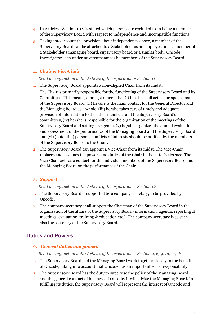- 4. In Articles Section 10.2 is stated which persons are excluded from being a member of the Supervisory Board with respect to independence and incompatible functions.
- 5. Taking into account the provision about independency above, a member of the Supervisory Board can be attached to a Stakeholder as an employee or as a member of a Stakeholder's managing board, supervisory board or a similar body. Oncode Investigators can under no circumstances be members of the Supervisory Board.

#### **4.** *Chair & Vice-Chair*

*Read in conjunction with: Articles of Incorporation – Section 11* 

- 1. The Supervisory Board appoints a non-aligned Chair from its midst.
	- The Chair is primarily responsible for the functioning of the Supervisory Board and its Committees. This means, amongst others, that (i) he/she shall act as the spokesman of the Supervisory Board, (ii) he/she is the main contact for the General Director and the Managing Board as a whole, (iii) he/she takes care of timely and adequate provision of information to the other members and the Supervisory Board's committees, (iv) he/she is responsible for the organization of the meetings of the Supervisory Board and setting its agenda, (v) he/she organizes the annual evaluation and assessment of the performance of the Managing Board and the Supervisory Board and (vi) (potential) personal conflicts of interests should be notified by the members of the Supervisory Board to the Chair.
- 2. The Supervisory Board can appoint a Vice-Chair from its midst. The Vice-Chair replaces and assumes the powers and duties of the Chair in the latter's absence. The Vice-Chair acts as a contact for the individual members of the Supervisory Board and the Managing Board on the performance of the Chair.

#### **5.** *Support*

#### *Read in conjunction with: Articles of Incorporation – Section 12*

- 1. The Supervisory Board is supported by a company secretary, to be provided by Oncode.
- 2. The company secretary shall support the Chairman of the Supervisory Board in the organization of the affairs of the Supervisory Board (information, agenda, reporting of meetings, evaluation, training & education etc.). The company secretary is as such also the secretary of the Supervisory Board.

# **Duties and Powers**

#### **6.** *General duties and powers*

*Read in conjunction with: Articles of Incorporation – Section 4, 6, 9, 16, 17, 18* 

- 1. The Supervisory Board and the Managing Board work together closely to the benefit of Oncode, taking into account that Oncode has an important social responsibility.
- 2. The Supervisory Board has the duty to supervise the policy of the Managing Board and the general conduct of business of Oncode. It will advise the Managing Board. In fulfilling its duties, the Supervisory Board will represent the interest of Oncode and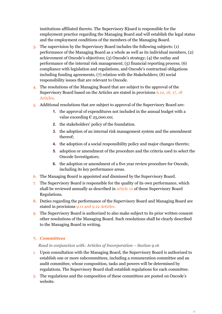institutions affiliated thereto. The Supervisory B]oard is responsible for the employment practice regarding the Managing Board and will establish the legal status and the employment conditions of the members of the Managing Board.

- 3. The supervision by the Supervisory Board includes the following subjects: (1) performance of the Managing Board as a whole as well as its individual members, (2) achievement of Oncode's objectives; (3) Oncode's strategy; (4) the outlay and performance of the internal risk management; (5) financial reporting process; (6) compliance with legislation and regulations, and Oncode's contractual obligations including funding agreements; (7) relation with the Stakeholders; (8) social responsibility issues that are relevant to Oncode.
- 4. The resolutions of the Managing Board that are subject to the approval of the Supervisory Board based on the Articles are stated in provisions 6.10, 16, 17, 18 Articles.
- 5. Additional resolutions that are subject to approval of the Supervisory Board are:
	- **1.** the approval of expenditures not included in the annual budget with a value exceeding  $\epsilon$  25,000.00;
	- **2.** the stakeholders' policy of the foundation.
	- **3.** the adoption of an internal risk management system and the amendment thereof;
	- **4.** the adoption of a social responsibility policy and major changes thereto;
	- **5.** adoption or amendment of the procedure and the criteria used to select the Oncode Investigators;
	- **6.** the adoption or amendment of a five year review procedure for Oncode, including its key performance areas.
- 6. The Managing Board is appointed and dismissed by the Supervisory Board.
- 7. The Supervisory Board is responsible for the quality of its own performance, which shall be reviewed annually as described in article 12 of these Supervisory Board Regulations.
- 8. Duties regarding the performance of the Supervisory Board and Managing Board are stated in provisions 9.11 and 9.12 Articles.
- 9. The Supervisory Board is authorized to also make subject to its prior written consent other resolutions of the Managing Board. Such resolutions shall be clearly described to the Managing Board in writing.

#### **7.** *Committees*

#### *Read in conjunction with: Articles of Incorporation – Section 9.16*

- 1. Upon consultation with the Managing Board, the Supervisory Board is authorized to establish one or more subcommittees, including a remuneration committee and an audit committee, whose composition, tasks and powers will be determined by regulations. The Supervisory Board shall establish regulations for each committee.
- 2. The regulations and the composition of these committees are posted on Oncode's website.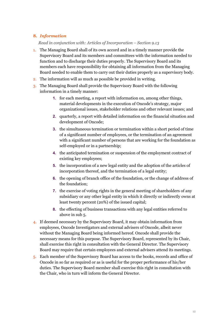#### **8.** *Information*

#### *Read in conjunction with: Articles of Incorporation – Section 9.13*

- 1. The Managing Board shall of its own accord and in a timely manner provide the Supervisory Board and its members and committees with the information needed to function and to discharge their duties properly. The Supervisory Board and its members each have responsibility for obtaining all information from the Managing Board needed to enable them to carry out their duties properly as a supervisory body.
- 2. The information will as much as possible be provided in writing.
- 3. The Managing Board shall provide the Supervisory Board with the following information in a timely manner:
	- **1.** for each meeting, a report with information on, among other things, material developments in the execution of Oncode's strategy, major organizational issues, stakeholder relations and other relevant issues; and
	- **2.** quarterly, a report with detailed information on the financial situation and development of Oncode;
	- **3.** the simultaneous termination or termination within a short period of time of a significant number of employees, or the termination of an agreement with a significant number of persons that are working for the foundation as self-employed or in a partnership;
	- **4.** the anticipated termination or suspension of the employment contract of existing key employees;
	- **5.** the incorporation of a new legal entity and the adoption of the articles of incorporation thereof, and the termination of a legal entity;
	- **6.** the opening of branch office of the foundation, or the change of address of the foundation;
	- **7.** the exercise of voting rights in the general meeting of shareholders of any subsidiary or any other legal entity in which it directly or indirectly owns at least twenty percent (20%) of the issued capital;
	- **8.** the effecting of business transactions with any legal entities referred to above in sub 5.
- 4. If deemed necessary by the Supervisory Board, it may obtain information from employees, Oncode Investigators and external advisers of Oncode, albeit never without the Managing Board being informed hereof. Oncode shall provide the necessary means for this purpose. The Supervisory Board, represented by its Chair, shall exercise this right in consultation with the General Director. The Supervisory Board may require that certain employees and external advisers attend its meetings.
- 5. Each member of the Supervisory Board has access to the books, records and office of Oncode in so far as required or as is useful for the proper performance of his/her duties. The Supervisory Board member shall exercise this right in consultation with the Chair, who in turn will inform the General Director.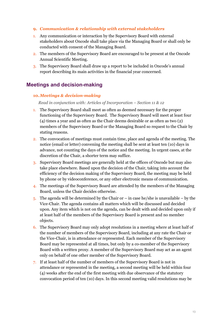#### **9.** *Communication & relationship with external stakeholders*

- 1. Any communication or interaction by the Supervisory Board with external stakeholders about Oncode shall take place via the Managing Board or shall only be conducted with consent of the Managing Board.
- 2. The members of the Supervisory Board are encouraged to be present at the Oncode Annual Scientific Meeting.
- 3. The Supervisory Board shall draw up a report to be included in Oncode's annual report describing its main activities in the financial year concerned.

## **Meetings and decision-making**

#### **10.***Meetings & decision-making*

*Read in conjunction with: Articles of Incorporation – Section 11 & 12* 

- 1. The Supervisory Board shall meet as often as deemed necessary for the proper functioning of the Supervisory Board. The Supervisory Board will meet at least four (4) times a year and as often as the Chair deems desirable or as often as two (2) members of the Supervisory Board or the Managing Board so request to the Chair by stating reasons.
- 2. The convocation of meetings must contain time, place and agenda of the meeting. The notice (email or letter) convening the meeting shall be sent at least ten (10) days in advance, not counting the days of the notice and the meeting. In urgent cases, at the discretion of the Chair, a shorter term may suffice.
- 3. Supervisory Board meetings are generally held at the offices of Oncode but may also take place elsewhere. Based upon the decision of the Chair, taking into account the efficiency of the decision making of the Supervisory Board, the meeting may be held by phone or by videoconference, or any other electronic means of communication.
- 4. The meetings of the Supervisory Board are attended by the members of the Managing Board, unless the Chair decides otherwise.
- 5. The agenda will be determined by the Chair or in case he/she is unavailable by the Vice-Chair. The agenda contains all matters which will be discussed and decided upon. Any item which is not on the agenda, can be dealt with and decided upon only if at least half of the members of the Supervisory Board is present and no member objects.
- 6. The Supervisory Board may only adopt resolutions in a meeting where at least half of the number of members of the Supervisory Board, including at any rate the Chair or the Vice-Chair, is in attendance or represented. Each member of the Supervisory Board may be represented at all times, but only by a co-member of the Supervisory Board with a written proxy. A member of the Supervisory Board may act as an agent only on behalf of one other member of the Supervisory Board.
- 7. If at least half of the number of members of the Supervisory Board is not in attendance or represented in the meeting, a second meeting will be held within four (4) weeks after the end of the first meeting with due observance of the statutory convocation period of ten (10) days. In this second meeting valid resolutions may be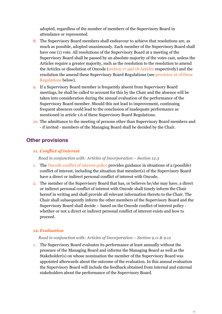adopted, regardless of the number of members of the Supervisory Board in attendance or represented.

- 8. The Supervisory Board members shall endeavour to achieve that resolutions are, as much as possible, adopted unanimously. Each member of the Supervisory Board shall have one (1) vote. All resolutions of the Supervisory Board at a meeting of the Supervisory Board shall be passed by an absolute majority of the votes cast, unless the Articles require a greater majority, such as the resolution to the resolution to amend the Articles or dissolution of Oncode (section 17 and 18 Articles respectively) and the resolution the amend these Supervisory Board Regulations (see provision 16 of these Regulations below).
- 9. If a Supervisory Board member is frequently absent from Supervisory Board meetings, he shall be called to account for this by the Chair and the absence will be taken into consideration during the annual evaluation of the performance of the Supervisory Board member. Should this not lead to improvement, continuing frequent absences could lead to the conclusion of inadequate performance as mentioned in article 1.6 of these Supervisory Board Regulations.
- 10. The admittance to the meeting of persons other than Supervisory Board members and - if invited - members of the Managing Board shall be decided by the Chair.

## **Other provisions**

#### **11.** *Conflict of interest*

*Read in conjunction with: Articles of Incorporation – Section 12.3* 

- 1. The Oncode conflict of interest policy provides guidance in situations of a (possible) conflict of interest, including the situation that member(s) of the Supervisory Board have a direct or indirect personal conflict of interest with Oncode.
- 2. The member of the Supervisory Board that has, or believes he/she may have, a direct or indirect personal conflict of interest with Oncode shall timely inform the Chair hereof in writing and shall provide all relevant information thereto to the Chair. The Chair shall subsequently inform the other members of the Supervisory Board and the Supervisory Board shall decide – based on the Oncode conflict of interest policy whether or not a direct or indirect personal conflict of interest exists and how to proceed.

#### **12.** *Evaluation*

#### *Read in conjunction with: Articles of Incorporation – Section 9.11 & 9.12*

1. The Supervisory Board evaluates its performance at least annually without the presence of the Managing Board and informs the Managing Board as well as the Stakeholder(s) on whose nomination the member of the Supervisory Board was appointed afterwards about the outcome of the evaluation. In this annual evaluation the Supervisory Board will include the feedback obtained from internal and external stakeholders about the performance of the Supervisory Board.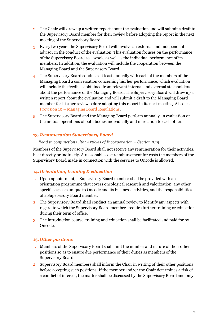- 2. The Chair will draw up a written report about the evaluation and will submit a draft to the Supervisory Board member for their review before adopting the report in the next meeting of the Supervisory Board.
- 3. Every two years the Supervisory Board will involve an external and independent advisor in the conduct of the evaluation. This evaluation focuses on the performance of the Supervisory Board as a whole as well as the individual performance of its members. In addition, the evaluation will include the cooperation between the Managing Board and the Supervisory Board.
- 4. The Supervisory Board conducts at least annually with each of the members of the Managing Board a conversation concerning his/her performance; which evaluation will include the feedback obtained from relevant internal and external stakeholders about the performance of the Managing Board. The Supervisory Board will draw up a written report about the evaluation and will submit a draft to the Managing Board member for his/her review before adopting this report in its next meeting. Also see Provision 10 – Managing Board Regulations.
- 5. The Supervisory Board and the Managing Board perform annually an evaluation on the mutual operations of both bodies individually and in relation to each other.

#### **13.** *Remuneration Supervisory Board*

#### *Read in conjunction with: Articles of Incorporation – Section 9.15*

Members of the Supervisory Board shall not receive any remuneration for their activities, be it directly or indirectly. A reasonable cost reimbursement for costs the members of the Supervisory Board made in connection with the services to Oncode is allowed.

#### **14.** *Orientation, training & education*

- 1. Upon appointment, a Supervisory Board member shall be provided with an orientation programme that covers oncological research and valorization, any other specific aspects unique to Oncode and its business activities, and the responsibilities of a Supervisory Board member.
- 2. The Supervisory Board shall conduct an annual review to identify any aspects with regard to which the Supervisory Board members require further training or education during their term of office.
- 3. The introduction course, training and education shall be facilitated and paid for by Oncode.

#### **15.** *Other positions*

- 1. Members of the Supervisory Board shall limit the number and nature of their other positions so as to ensure due performance of their duties as members of the Supervisory Board.
- 2. Supervisory Board members shall inform the Chair in writing of their other positions before accepting such positions. If the member and/or the Chair determines a risk of a conflict of interest, the matter shall be discussed by the Supervisory Board and only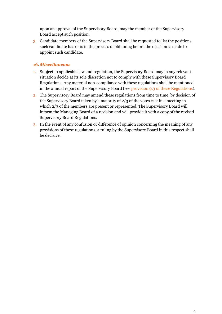upon an approval of the Supervisory Board, may the member of the Supervisory Board accept such position.

3. Candidate members of the Supervisory Board shall be requested to list the positions such candidate has or is in the process of obtaining before the decision is made to appoint such candidate.

#### **16.***Miscellaneous*

- 1. Subject to applicable law and regulation, the Supervisory Board may in any relevant situation decide at its sole discretion not to comply with these Supervisory Board Regulations. Any material non-compliance with these regulations shall be mentioned in the annual report of the Supervisory Board (see provision 9.3 of these Regulations).
- 2. The Supervisory Board may amend these regulations from time to time, by decision of the Supervisory Board taken by a majority of 2/3 of the votes cast in a meeting in which 2/3 of the members are present or represented. The Supervisory Board will inform the Managing Board of a revision and will provide it with a copy of the revised Supervisory Board Regulations.
- 3. In the event of any confusion or difference of opinion concerning the meaning of any provisions of these regulations, a ruling by the Supervisory Board in this respect shall be decisive.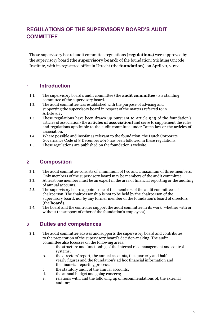# **REGULATIONS OF THE SUPERVISORY BOARD'S AUDIT COMMITTEE**

These supervisory board audit committee regulations (**regulations**) were approved by the supervisory board (the **supervisory board**) of the foundation: Stichting Oncode Institute, with its registered office in Utrecht (the **foundation**), on April 20, 2022.

## **1 Introduction**

- 1.1. The supervisory board's audit committee (the **audit committee**) is a standing committee of the supervisory board.
- 1.2. The audit committee was established with the purpose of advising and supporting the supervisory board in respect of the matters referred to in Articl[e 3.1 .](#page-16-0)
- 1.3. These regulations have been drawn up pursuant to Article 9.15 of the foundation's articles of association (the **articles of association**) and serve to supplement the rules and regulations applicable to the audit committee under Dutch law or the articles of association.
- 1.4. Where possible and insofar as relevant to the foundation, the Dutch Corporate Governance Code of 8 December 2016 has been followed in these regulations.
- 1.5. These regulations are published on the foundation's website.

## **2 Composition**

- 2.1. The audit committee consists of a minimum of two and a maximum of three members. Only members of the supervisory board may be members of the audit committee.
- 2.2. At least one member must be an expert in the area of financial reporting or the auditing of annual accounts.
- 2.3. The supervisory board appoints one of the members of the audit committee as its chairperson. The chairpersonship is not to be held by the chairperson of the supervisory board, nor by any former member of the foundation's board of directors (the **board**).
- 2.4. The board and the controller support the audit committee in its work (whether with or without the support of other of the foundation's employees).

## **3 Duties and competences**

- <span id="page-16-0"></span>3.1. The audit committee advises and supports the supervisory board and contributes to the preparation of the supervisory board's decision-making. The audit committee also focusses on the following areas:
	- a. the structure and functioning of the internal risk management and control systems;
	- b. the directors' report, the annual accounts, the quarterly and halfyearly figures and the foundation's ad hoc financial information and the financial reporting process;
	- c. the statutory audit of the annual accounts;
	- d. the annual budget and going concern;
	- e. relations with, and the following up of recommendations of, the external auditor;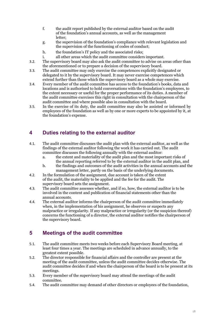- f. the audit report published by the external auditor based on the audit of the foundation's annual accounts, as well as the management letter;
- g. the supervision of the foundation's compliance with relevant legislation and the supervision of the functioning of codes of conduct;
- h. the foundation's IT policy and the associated risks;
- i. all other areas which the audit committee considers important.
- 3.2. The supervisory board may also ask the audit committee to advise on areas other than the aforementioned or to prepare a decision of the supervisory board.
- 3.3. The audit committee may only exercise the competences explicitly designated or delegated to it by the supervisory board. It may never exercise competences which extend further than those which the supervisory board as a whole may exercise.
- 3.4. Every member of the audit committee has access to the foundation's books, data and locations and is authorised to hold conversations with the foundation's employees, to the extent necessary or useful for the proper performance of its duties. A member of the audit committee exercises this right in consultation with the chairperson of the audit committee and where possible also in consultation with the board.
- 3.5. In the exercise of its duty, the audit committee may also be assisted or informed by employees of the foundation as well as by one or more experts to be appointed by it, at the foundation's expense.

# **4 Duties relating to the external auditor**

- 4.1. The audit committee discusses the audit plan with the external auditor, as well as the findings of the external auditor following the work it has carried out. The audit committee discusses the following annually with the external auditor:<br>a. the extent and materiality of the audit plan and the most impo
	- the extent and materiality of the audit plan and the most important risks of the annual reporting referred to by the external auditor in the audit plan, and
	- b. the findings and outcomes of the audit activities in the annual accounts and the management letter, partly on the basis of the underlying documents.
- 4.2. In the formulation of the assignment, due account is taken of the extent of the audit, the materiality to be applied and the fee for the audit. The supervisory board sets the assignment.
- 4.3. The audit committee assesses whether, and if so, how, the external auditor is to be involved in the content and publication of financial statements other than the annual accounts.
- 4.4. The external auditor informs the chairperson of the audit committee immediately when, in the implementation of his assignment, he observes or suspects any malpractice or irregularity. If any malpractice or irregularity (or the suspicion thereof) concerns the functioning of a director, the external auditor notifies the chairperson of the supervisory board.

# **5 Meetings of the audit committee**

- 5.1. The audit committee meets two weeks before each Supervisory Board meeting, at least four times a year. The meetings are scheduled in advance annually, to the greatest extent possible.
- 5.2. The director responsible for financial affairs and the controller are present at the meeting of the audit committee, unless the audit committee decides otherwise. The audit committee decides if and when the chairperson of the board is to be present at its meetings.
- 5.3. Every member of the supervisory board may attend the meetings of the audit committee.
- 5.4. The audit committee may demand of other directors or employees of the foundation,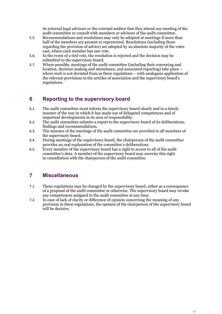its external legal advisors or the external auditor that they attend any meeting of the audit committee or consult with members or advisors of the audit committee.

- 5.5. Recommendations and resolutions may only be adopted at meetings if more than half of the members are present or represented. Resolutions (including those regarding the provision of advice) are adopted by an absolute majority of the votes cast, where each member has one vote.
- 5.6. In the event of a tied vote, the resolution is rejected and the decision may be submitted to the supervisory board.
- 5.7. Where possible, meetings of the audit committee (including their convening and location, decision-making and attendance, and associated reporting) take place – where such is not deviated from in these regulations – with analogous application of the relevant provisions in the articles of association and the supervisory board's regulations.

# **6 Reporting to the supervisory board**

- 6.1. The audit committee must inform the supervisory board clearly and in a timely manner of the way in which it has made use of delegated competences and of important developments in its area of responsibility.
- 6.2. The audit committee submits a report to the supervisory board of its deliberations, findings and recommendations.
- 6.3. The minutes of the meetings of the audit committee are provided to all members of the supervisory board.
- 6.4. During meetings of the supervisory board, the chairperson of the audit committee provides an oral explanation of the committee's deliberations.
- 6.5. Every member of the supervisory board has a right to access to all of the audit committee's data. A member of the supervisory board may exercise this right in consultation with the chairperson of the audit committee.

# **7 Miscellaneous**

- 7.1. These regulations may be changed by the supervisory board, either as a consequence of a proposal of the audit committee or otherwise. The supervisory board may revoke any competences assigned to the audit committee at any time.
- 7.2. In case of lack of clarity or difference of opinion concerning the meaning of any provision in these regulations, the opinion of the chairperson of the supervisory board will be decisive.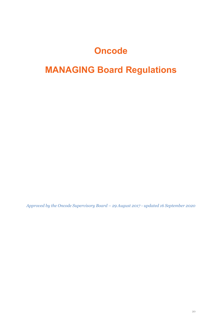# **Oncode**

# **MANAGING Board Regulations**

*Approved by the Oncode Supervisory Board – 29 August 2017 - updated 16 September 2020*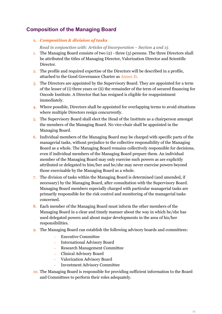# **Composition of the Managing Board**

#### **1.** *Composition & division of tasks*

*Read in conjunction with: Articles of Incorporation – Section 4 and 15*

- 1. The Managing Board consists of two (2) three (3) persons. The three Directors shall be attributed the titles of Managing Director, Valorization Director and Scientific Director.
- 2. The profile and required expertise of the Directors will be described in a profile, attached to the Good Governance Charter as Annex D.
- 3. The Directors are appointed by the Supervisory Board. They are appointed for a term of the lesser of (i) three years or (ii) the remainder of the term of secured financing for Oncode Institute. A Director that has resigned is eligible for reappointment immediately.
- 4. Where possible, Directors shall be appointed for overlapping terms to avoid situations where multiple Directors resign concurrently.
- 5. The Supervisory Board shall elect the Head of the Institute as a chairperson amongst the members of the Managing Board. No vice-chair shall be appointed in the Managing Board.
- 6. Individual members of the Managing Board may be charged with specific parts of the managerial tasks, without prejudice to the collective responsibility of the Managing Board as a whole. The Managing Board remains collectively responsible for decisions, even if individual members of the Managing Board prepare them. An individual member of the Managing Board may only exercise such powers as are explicitly attributed or delegated to him/her and he/she may never exercise powers beyond those exercisable by the Managing Board as a whole.
- 7. The division of tasks within the Managing Board is determined (and amended, if necessary) by the Managing Board, after consultation with the Supervisory Board. Managing Board members especially charged with particular managerial tasks are primarily responsible for the risk control and monitoring of the managerial tasks concerned.
- 8. Each member of the Managing Board must inform the other members of the Managing Board in a clear and timely manner about the way in which he/she has used delegated powers and about major developments in the area of his/her responsibilities.
- 9. The Managing Board can establish the following advisory boards and committees:
	- Executive Committee
	- International Advisory Board
	- Research Management Committee
	- Clinical Advisory Board
	- Valorization Advisory Board
	- Investment Advisory Committee
- 10. The Managing Board is responsible for providing sufficient information to the Board and Committees to perform their roles adequately.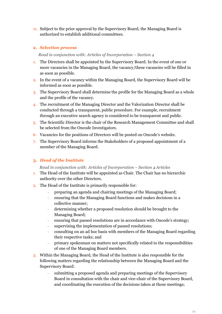11. Subject to the prior approval by the Supervisory Board, the Managing Board is authorized to establish additional committees.

#### **2.** *Selection process*

#### *Read in conjunction with: Articles of Incorporation – Section 4*

- 1. The Directors shall be appointed by the Supervisory Board. In the event of one or more vacancies in the Managing Board, the vacancy/these vacancies will be filled in as soon as possible.
- 2. In the event of a vacancy within the Managing Board, the Supervisory Board will be informed as soon as possible.
- 3. The Supervisory Board shall determine the profile for the Managing Board as a whole and the profile of the vacancy.
- 4. The recruitment of the Managing Director and the Valorization Director shall be conducted through a transparent, public procedure. For example, recruitment through an executive search agency is considered to be transparent and public.
- 5. The Scientific Director is the chair of the Research Management Committee and shall be selected from the Oncode Investigators.
- 6. Vacancies for the positions of Directors will be posted on Oncode's website.
- 7. The Supervisory Board informs the Stakeholders of a proposed appointment of a member of the Managing Board.

#### **3.** *Head of the Institute*

*Read in conjunction with: Articles of Incorporation – Section 4 Articles* 

- 1. The Head of the Institute will be appointed as Chair. The Chair has no hierarchic authority over the other Directors.
- 2. The Head of the Institute is primarily responsible for:
	- preparing an agenda and chairing meetings of the Managing Board;
	- ensuring that the Managing Board functions and makes decisions in a collective manner;
	- determining whether a proposed resolution should be brought to the Managing Board;
	- ensuring that passed resolutions are in accordance with Oncode's strategy;
	- supervising the implementation of passed resolutions;
	- consulting on an ad hoc basis with members of the Managing Board regarding their respective tasks; and
	- primary spokesman on matters not specifically related to the responsibilities of one of the Managing Board members.
- 3. Within the Managing Board, the Head of the Institute is also responsible for the following matters regarding the relationship between the Managing Board and the Supervisory Board:
	- submitting a proposed agenda and preparing meetings of the Supervisory Board in consultation with the chair and vice-chair of the Supervisory Board, and coordinating the execution of the decisions taken at those meetings;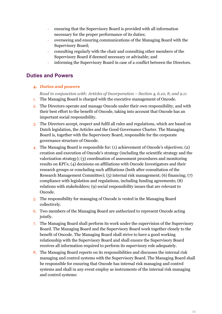- ensuring that the Supervisory Board is provided with all information necessary for the proper performance of its duties;
- overseeing and ensuring communications of the Managing Board with the Supervisory Board;
- consulting regularly with the chair and consulting other members of the Supervisory Board if deemed necessary or advisable; and
- informing the Supervisory Board in case of a conflict between the Directors.

# **Duties and Powers**

#### **4.** *Duties and powers*

*Read in conjunction with: Articles of Incorporation – Section 4, 6.10, 8, and 9.11*

- 1. The Managing Board is charged with the executive management of Oncode.
- 2. The Directors operate and manage Oncode under their own responsibility, and with their best effort to the benefit of Oncode, taking into account that Oncode has an important social responsibility.
- 3. The Directors accept, respect and fulfil all rules and regulations, which are based on Dutch legislation, the Articles and the Good Governance Charter. The Managing Board is, together with the Supervisory Board, responsible for the corporate governance structure of Oncode.
- 4. The Managing Board is responsible for: (1) achievement of Oncode's objectives; (2) creation and execution of Oncode's strategy (including the scientific strategy and the valorization strategy); (3) coordination of assessment procedures and monitoring results on KPI's; (4) decisions on affiliations with Oncode Investigators and their research groups or concluding such affiliations (both after consultation of the Research Management Committee); (5) internal risk management; (6) financing; (7) compliance with legislation and regulations, including funding agreements; (8) relations with stakeholders; (9) social responsibility issues that are relevant to Oncode.
- 5. The responsibility for managing of Oncode is vested in the Managing Board collectively.
- 6. Two members of the Managing Board are authorized to represent Oncode acting jointly.
- 7. The Managing Board shall perform its work under the supervision of the Supervisory Board. The Managing Board and the Supervisory Board work together closely to the benefit of Oncode. The Managing Board shall strive to have a good working relationship with the Supervisory Board and shall ensure the Supervisory Board receives all information required to perform its supervisory role adequately.
- 8. The Managing Board reports on its responsibilities and discusses the internal risk managing and control systems with the Supervisory Board. The Managing Board shall be responsible for ensuring that Oncode has internal risk managing and control systems and shall in any event employ as instruments of the internal risk managing and control systems: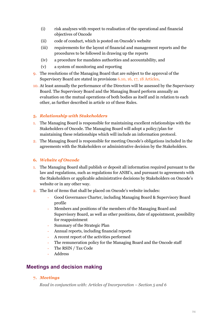- (i) risk analyses with respect to realisation of the operational and financial objectives of Oncode
- (ii) code of conduct, which is posted on Oncode's website
- (iii) requirements for the layout of financial and management reports and the procedures to be followed in drawing up the reports
- (iv) a procedure for mandates authorities and accountability, and
- (v) a system of monitoring and reporting
- 9. The resolutions of the Managing Board that are subject to the approval of the Supervisory Board are stated in provisions 6.10, 16, 17, 18 Articles.
- 10. At least annually the performance of the Directors will be assessed by the Supervisory Board. The Supervisory Board and the Managing Board perform annually an evaluation on the mutual operations of both bodies as itself and in relation to each other, as further described in article 10 of these Rules.

#### **5.** *Relationship with Stakeholders*

- 1. The Managing Board is responsible for maintaining excellent relationships with the Stakeholders of Oncode. The Managing Board will adopt a policy/plan for maintaining these relationships which will include an information protocol.
- 2. The Managing Board is responsible for meeting Oncode's obligations included in the agreements with the Stakeholders or administrative decision by the Stakeholders.

#### **6.** *Website of Oncode*

- 1. The Managing Board shall publish or deposit all information required pursuant to the law and regulations, such as regulations for ANBI's, and pursuant to agreements with the Stakeholders or applicable administrative decisions by Stakeholders on Oncode's website or in any other way.
- 2. The list of items that shall be placed on Oncode's website includes:
	- Good Governance Charter, including Managing Board & Supervisory Board profile
	- Members and positions of the members of the Managing Board and Supervisory Board, as well as other positions, date of appointment, possibility for reappointment
	- Summary of the Strategic Plan
	- Annual reports, including financial reports
	- A recent report of the activities performed
	- The remuneration policy for the Managing Board and the Oncode staff
	- The RSIN / Tax Code
	- **Address**

# **Meetings and decision making**

#### **7.** *Meetings*

*Read in conjunction with: Articles of Incorporation – Section 5 and 6*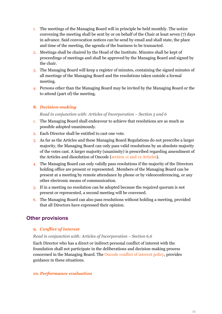- 1. The meetings of the Managing Board will in principle be held monthly. The notice convening the meeting shall be sent by or on behalf of the Chair at least seven (7) days in advance. Said convocation notices can be send by email and shall state, the place and time of the meeting, the agenda of the business to be transacted.
- 2. Meetings shall be chaired by the Head of the Institute. Minutes shall be kept of proceedings of meetings and shall be approved by the Managing Board and signed by the chair.
- 3. The Managing Board will keep a register of minutes, containing the signed minutes of all meetings of the Managing Board and the resolutions taken outside a formal meeting.
- 4. Persons other than the Managing Board may be invited by the Managing Board or the to attend (part of) the meeting.

#### **8.** *Decision-making*

*Read in conjunction with: Articles of Incorporation – Section 5 and 6* 

- 1. The Managing Board shall endeavour to achieve that resolutions are as much as possible adopted unanimously.
- 2. Each Director shall be entitled to cast one vote.
- 3. As far as the Articles and these Managing Board Regulations do not prescribe a larger majority, the Managing Board can only pass valid resolutions by an absolute majority of the votes cast. A larger majority (unanimity) is prescribed regarding amendment of the Articles and dissolution of Oncode (section 11 and 12 Articles).
- 4. The Managing Board can only validly pass resolutions if the majority of the Directors holding office are present or represented. Members of the Managing Board can be present at a meeting by remote attendance by phone or by videoconferencing, or any other electronic means of communication.
- 5. If in a meeting no resolution can be adopted because the required quorum is not present or represented, a second meeting will be convened.
- 6. The Managing Board can also pass resolutions without holding a meeting, provided that all Directors have expressed their opinion.

# **Other provisions**

#### **9.** *Conflict of interest*

#### *Read in conjunction with: Articles of Incorporation – Section 6.6*

Each Director who has a direct or indirect personal conflict of interest with the foundation shall not participate in the deliberations and decision-making process concerned in the Managing Board. The Oncode conflict of interest policy, provides guidance in these situations.

#### **10.***Performance evaluation*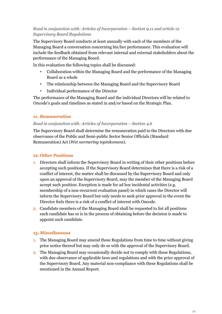#### *Read in conjunction with: Articles of Incorporation – Section 9.11 and article 12 Supervisory Board Regulations*

The Supervisory Board conducts at least annually with each of the members of the Managing Board a conversation concerning his/her performance. This evaluation will include the feedback obtained from relevant internal and external stakeholders about the performance of the Managing Board.

In this evaluation the following topics shall be discussed:

- Collaboration within the Managing Board and the performance of the Managing Board as a whole
- The relationship between the Managing Board and the Supervisory Board
- Individual performance of the Director

The performance of the Managing Board and the individual Directors will be related to Oncode's goals and timelines as stated in and/or based on the Strategic Plan.

#### **11.** *Remuneration*

#### *Read in conjunction with: Articles of Incorporation – Section 4.6*

The Supervisory Board shall determine the remuneration paid to the Directors with due observance of the Public and Semi-public Sector Senior Officials (Standard Remuneration) Act (*Wet normering topinkomens*).

#### **12.** *Other Positions*

- 1. Directors shall inform the Supervisory Board in writing of their other positions before accepting such positions. If the Supervisory Board determines that there is a risk of a conflict of interest, the matter shall be discussed by the Supervisory Board and only upon an approval of the Supervisory Board, may the member of the Managing Board accept such position. Exception is made for ad hoc incidental activities (e.g. membership of a non-recurrent evaluation panel) in which cases the Director will inform the Supervisory Board but only needs to seek prior approval in the event the Director feels there is a risk of a conflict of interest with Oncode.
- 2. Candidate members of the Managing Board shall be requested to list all positions such candidate has or is in the process of obtaining before the decision is made to appoint such candidate.

#### **13.** *Miscellaneous*

- 1. The Managing Board may amend these Regulations from time to time without giving prior notice thereof but may only do so with the approval of the Supervisory Board.
- 2. The Managing Board may occasionally decide not to comply with these Regulations, with due observance of applicable laws and regulations and with the prior approval of the Supervisory Board. Any material non-compliance with these Regulations shall be mentioned in the Annual Report.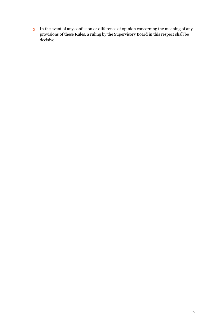3. In the event of any confusion or difference of opinion concerning the meaning of any provisions of these Rules, a ruling by the Supervisory Board in this respect shall be decisive.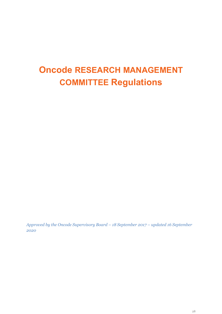# **Oncode RESEARCH MANAGEMENT COMMITTEE Regulations**

*Approved by the Oncode Supervisory Board – 18 September 2017 – updated 16 September 2020*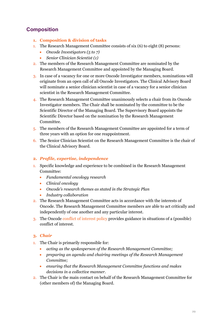# **Composition**

- **1. Composition & division of tasks**
- 1. The Research Management Committee consists of six (6) to eight (8) persons:
	- *Oncode Investigators (5 to 7)*
	- *Senior Clinician Scientist (1)*
- 2. The members of the Research Management Committee are nominated by the Research Management Committee and appointed by the Managing Board.
- 3. In case of a vacancy for one or more Oncode Investigator members, nominations will originate from an open call of all Oncode Investigators. The Clinical Advisory Board will nominate a senior clinician scientist in case of a vacancy for a senior clinician scientist in the Research Management Committee.
- 4. The Research Management Committee unanimously selects a chair from its Oncode Investigator members. The Chair shall be nominated by the committee to be the Scientific Director of the Managing Board. The Supervisory Board appoints the Scientific Director based on the nomination by the Research Management Committee.
- 5. The members of the Research Management Committee are appointed for a term of three years with an option for one reappointment.
- 6. The Senior Clinician Scientist on the Research Management Committee is the chair of the Clinical Advisory Board.
- **2.** *Profile, expertise, independence*
- 1. Specific knowledge and experience to be combined in the Research Management Committee:
	- *Fundamental oncology research*
	- *Clinical oncology*
	- *Oncode's research themes as stated in the Strategic Plan*
	- *Industry collaboration*
- 2. The Research Management Committee acts in accordance with the interests of Oncode. The Research Management Committee members are able to act critically and independently of one another and any particular interest.
- 3. The Oncode conflict of interest policy provides guidance in situations of a (possible) conflict of interest.

#### **3.** *Chair*

- 1. The Chair is primarily responsible for:
	- *acting as the spokesperson of the Research Management Committee;*
	- *preparing an agenda and chairing meetings of the Research Management Committee;*
	- *ensuring that the Research Management Committee functions and makes decisions in a collective manner.*
- 2. The Chair is the main contact on behalf of the Research Management Committee for (other members of) the Managing Board.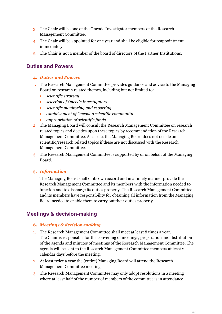- 3. The Chair will be one of the Oncode Investigator members of the Research Management Committee.
- 4. The Chair will be appointed for one year and shall be eligible for reappointment immediately.
- 5. The Chair is not a member of the board of directors of the Partner Institutions.

## **Duties and Powers**

- **4.** *Duties and Powers*
- 1. The Research Management Committee provides guidance and advice to the Managing Board on research related themes, including but not limited to:
	- *scientific strategy*
	- *selection of Oncode Investigators*
	- *scientific monitoring and reporting*
	- *establishment of Oncode's scientific community*
	- *appropriation of scientific funds*
- 2. The Managing Board will consult the Research Management Committee on research related topics and decides upon these topics by recommendation of the Research Management Committee. As a rule, the Managing Board does not decide on scientific/research related topics if these are not discussed with the Research Management Committee.
- 3. The Research Management Committee is supported by or on behalf of the Managing Board.

#### **5.** *Information*

The Managing Board shall of its own accord and in a timely manner provide the Research Management Committee and its members with the information needed to function and to discharge its duties properly. The Research Management Committee and its members have responsibility for obtaining all information from the Managing Board needed to enable them to carry out their duties properly.

## **Meetings & decision-making**

#### **6.** *Meetings & decision-making*

- 1. The Research Management Committee shall meet at least 8 times a year. The Chair is responsible for the convening of meetings, preparation and distribution of the agenda and minutes of meetings of the Research Management Committee. The agenda will be sent to the Research Management Committee members at least 2 calendar days before the meeting.
- 2. At least twice a year the (entire) Managing Board will attend the Research Management Committee meeting.
- 3. The Research Management Committee may only adopt resolutions in a meeting where at least half of the number of members of the committee is in attendance.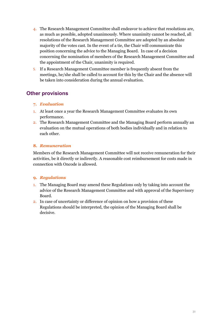- 4. The Research Management Committee shall endeavor to achieve that resolutions are, as much as possible, adopted unanimously. Where unanimity cannot be reached, all resolutions of the Research Management Committee are adopted by an absolute majority of the votes cast. In the event of a tie, the Chair will communicate this position concerning the advice to the Managing Board. In case of a decision concerning the nomination of members of the Research Management Committee and the appointment of the Chair, unanimity is required.
- 5. If a Research Management Committee member is frequently absent from the meetings, he/she shall be called to account for this by the Chair and the absence will be taken into consideration during the annual evaluation.

# **Other provisions**

#### **7.** *Evaluation*

- 1. At least once a year the Research Management Committee evaluates its own performance.
- 2. The Research Management Committee and the Managing Board perform annually an evaluation on the mutual operations of both bodies individually and in relation to each other.

#### **8.** *Remuneration*

Members of the Research Management Committee will not receive remuneration for their activities, be it directly or indirectly. A reasonable cost reimbursement for costs made in connection with Oncode is allowed.

#### **9.** *Regulations*

- 1. The Managing Board may amend these Regulations only by taking into account the advice of the Research Management Committee and with approval of the Supervisory Board.
- 2. In case of uncertainty or difference of opinion on how a provision of these Regulations should be interpreted, the opinion of the Managing Board shall be decisive.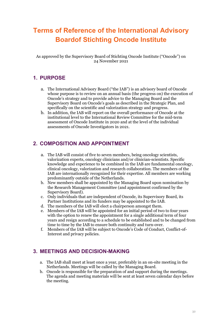# **Terms of Reference of the International Advisory Boardof Stichting Oncode Institute**

As approved by the Supervisory Board of Stichting Oncode Institute ("Oncode") on 24 November 2021

# **1. PURPOSE**

- a. The International Advisory Board ("the IAB") is an advisory board of Oncode whose purpose is to review on an annual basis (the progress on) the execution of Oncode's strategy and to provide advice to the Managing Board and the Supervisory Board on Oncode's goals as described in the Strategic Plan, and specifically on the scientific and valorization strategy and progress.
- b. In addition, the IAB will report on the overall performance of Oncode at the institutional level to the International Review Committee for the mid-term assessment of Oncode Institute in 2020 and at the level of the individual assessments of Oncode Investigators in 2021.

# **2. COMPOSITION AND APPOINTMENT**

- a. The IAB will consist of five to seven members, being oncology scientists, valorization experts, oncology clinicians and/or clinician-scientists. Specific knowledge and experience to be combined in the IAB are fundamental oncology, clinical oncology, valorization and research collaboration. The members of the IAB are internationally recognized for their expertise. All members are working predominantly outside of the Netherlands.
- b. New members shall be appointed by the Managing Board upon nomination by the Research Management Committee (and appointment confirmed by the Supervisory Board).
- c. Only individuals that are independent of Oncode, its Supervisory Board, its Partner Institutions and its funders may be appointed to the IAB.
- d. The members of the IAB will elect a chairperson amongst them.
- e. Members of the IAB will be appointed for an initial period of two to four years with the option to renew the appointment for a single additional term of four years and resign according to a schedule to be established and to be changed from time to time by the IAB to ensure both continuity and turn-over.
- f. Members of the IAB will be subject to Oncode's Code of Conduct, Conflict-of-Interest and privacy policies.

# **3. MEETINGS AND DECISION-MAKING**

- a. The IAB shall meet at least once a year, preferably in an on-site meeting in the Netherlands. Meetings will be called by the Managing Board.
- b. Oncode is responsible for the preparation of and support during the meetings. The agenda and meeting materials will be sent at least seven calendar days before the meeting.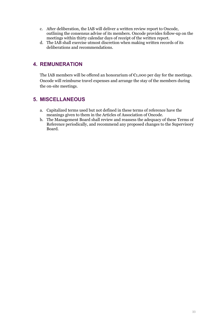- c. After deliberation, the IAB will deliver a written review report to Oncode, outlining the consensus advise of its members. Oncode provides follow-up on the meetings within thirty calendar days of receipt of the written report.
- d. The IAB shall exercise utmost discretion when making written records of its deliberations and recommendations.

# **4. REMUNERATION**

The IAB members will be offered an honorarium of  $\epsilon_{1,000}$  per day for the meetings. Oncode will reimburse travel expenses and arrange the stay of the members during the on-site meetings.

# **5. MISCELLANEOUS**

- a. Capitalized terms used but not defined in these terms of reference have the meanings given to them in the Articles of Association of Oncode.
- b. The Management Board shall review and reassess the adequacy of these Terms of Reference periodically, and recommend any proposed changes to the Supervisory Board.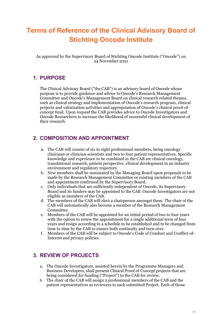# **Terms of Reference of the Clinical Advisory Board of Stichting Oncode Institute**

As approved by the Supervisory Board of Stichting Oncode Institute ("Oncode") on 24 November 2021

# **1. PURPOSE**

The Clinical Advisory Board ("the CAB") is an advisory board of Oncode whose purpose is to provide guidance and advice to Oncode's Research Management Committee and Oncode's Management Board on clinical research related themes, such as clinical strategy and implementation of Oncode's research program, clinical projects and valorization activities and appropriation of Oncode's clinical proof-ofconcept fund. Upon request the CAB provides advice to Oncode Investigators and Oncode Researchers to increase the likelihood of successful clinical development of their research.

# **2. COMPOSITION AND APPOINTMENT**

- a. The CAB will consist of six to eight professional members, being oncology clinicians or clinician-scientists and two to four patient representatives. Specific knowledge and experience to be combined in the CAB are clinical oncology, translational research, patient perspective, clinical development in an industry environment and regulatory trajectory.
- b. New members shall be nominated by the Managing Board upon proposals to be made by the Research Management Committee or existing members of the CAB and appointment confirmed by the Supervisory Board.
- c. Only individuals that are sufficiently independent of Oncode, its Supervisory Board and its funders may be appointed to the CAB. Oncode Investigators are not eligible as members of the CAB.
- d. The members of the CAB will elect a chairperson amongst them. The chair of the CAB will automatically also become a member of the Research Management Committee.
- e. Members of the CAB will be appointed for an initial period of two to four years with the option to renew the appointment for a single additional term of four years and resign according to a schedule to be established and to be changed from time to time by the CAB to ensure both continuity and turn-over.
- f. Members of the CAB will be subject to Oncode's Code of Conduct and Conflict-of-Interest and privacy policies.

# **3. REVIEW OF PROJECTS**

- a. The Oncode Investigators, assisted herein by the Programme Managers and Business Developers, shall present Clinical Proof of Concept projects that are being considered for funding ("Project") to the CAB for review.
- b. The chair of the CAB will assign 2 professional members of the CAB and the patient representatives as reviewers to each submitted Project. Each of those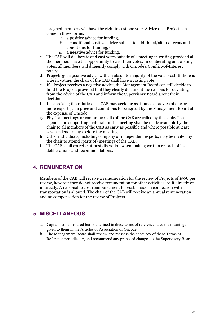assigned members will have the right to cast one vote. Advice on a Project can come in three forms:

- i. a positive advice for funding,
- ii. a conditional positive advice subject to additional/altered terms and conditions for funding, or
- iii. a negative advice for funding.
- c. The CAB will deliberate and cast votes outside of a meeting in writing provided all the members have the opportunity to cast their votes. In deliberating and casting votes, all members will diligently comply with Oncode's Conflict-of-Interest policy.
- d. Projects get a positive advice with an absolute majority of the votes cast. If there is a tie in voting, the chair of the CAB shall have a casting vote.
- e. If a Project receives a negative advice, the Management Board can still decide to fund the Project, provided that they clearly document the reasons for deviating from the advice of the CAB and inform the Supervisory Board about their decision.
- f. In exercising their duties, the CAB may seek the assistance or advice of one or more experts, at a price and conditions to be agreed by the Management Board at the expense of Oncode.
- g. Physical meetings or conference calls of the CAB are called by the chair. The agenda and supporting material for the meeting shall be made available by the chair to all members of the CAB as early as possible and where possible at least seven calendar days before the meeting.
- h. Other individuals, including company or independent experts, may be invited by the chair to attend (parts of) meetings of the CAB.
- i. The CAB shall exercise utmost discretion when making written records of its deliberations and recommendations.

## **4. REMUNERATION**

Members of the CAB will receive a remuneration for the review of Projects of 150 $\epsilon$  per review, however they do not receive remuneration for other activities, be it directly or indirectly. A reasonable cost reimbursement for costs made in connection with transportation is allowed. The chair of the CAB will receive an annual remuneration, and no compensation for the review of Projects.

## **5. MISCELLANEOUS**

- a. Capitalized terms used but not defined in these terms of reference have the meanings given to them in the Articles of Association of Oncode.
- b. The Management Board shall review and reassess the adequacy of these Terms of Reference periodically, and recommend any proposed changes to the Supervisory Board.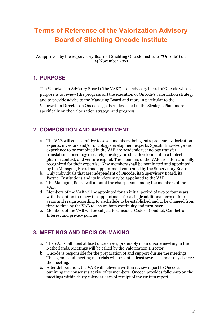# **Terms of Reference of the Valorization Advisory Board of Stichting Oncode Institute**

As approved by the Supervisory Board of Stichting Oncode Institute ("Oncode") on 24 November 2021

# **1. PURPOSE**

The Valorization Advisory Board ("the VAB") is an advisory board of Oncode whose purpose is to review (the progress on) the execution of Oncode's valorization strategy and to provide advice to the Managing Board and more in particular to the Valorization Director on Oncode's goals as described in the Strategic Plan, more specifically on the valorization strategy and progress.

# **2. COMPOSITION AND APPOINTMENT**

- a. The VAB will consist of five to seven members, being entrepreneurs, valorization experts, investors and/or oncology development experts. Specific knowledge and experience to be combined in the VAB are academic technology transfer, translational oncology research, oncology product development in a biotech or pharma context, and venture capital. The members of the VAB are internationally recognized for their expertise. New members shall be nominated and appointed by the Managing Board and appointment confirmed by the Supervisory Board.
- b. Only individuals that are independent of Oncode, its Supervisory Board, its Partner Institutions and its funders may be appointed to the VAB.
- c. The Managing Board will appoint the chairperson among the members of the VAB.
- d. Members of the VAB will be appointed for an initial period of two to four years with the option to renew the appointment for a single additional term of four years and resign according to a schedule to be established and to be changed from time to time by the VAB to ensure both continuity and turn-over.
- e. Members of the VAB will be subject to Oncode's Code of Conduct, Conflict-of-Interest and privacy policies.

# **3. MEETINGS AND DECISION-MAKING**

- a. The VAB shall meet at least once a year, preferably in an on-site meeting in the Netherlands. Meetings will be called by the Valorization Director.
- b. Oncode is responsible for the preparation of and support during the meetings. The agenda and meeting materials will be sent at least seven calendar days before the meeting.
- c. After deliberation, the VAB will deliver a written review report to Oncode, outlining the consensus advise of its members. Oncode provides follow-up on the meetings within thirty calendar days of receipt of the written report.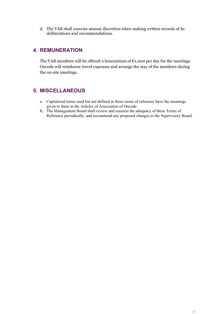d. The VAB shall exercise utmost discretion when making written records of its deliberations and recommendations.

### **4. REMUNERATION**

The VAB members will be offered a honorarium of  $\epsilon$ 1,000 per day for the meetings. Oncode will reimburse travel expenses and arrange the stay of the members during the on-site meetings.

### **5. MISCELLANEOUS**

- a. Capitalized terms used but not defined in these terms of reference have the meanings given to them in the Articles of Association of Oncode.
- b. The Management Board shall review and reassess the adequacy of these Terms of Reference periodically, and recommend any proposed changes to the Supervisory Board.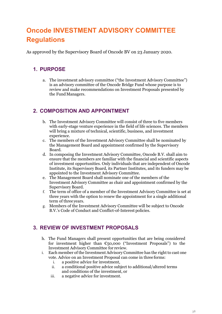# **Oncode INVESTMENT ADVISORY COMMITTEE Regulations**

As approved by the Supervisory Board of Oncode BV on 23 January 2020.

### **1. PURPOSE**

a. The investment advisory committee ("the Investment Advisory Committee") is an advisory committee of the Oncode Bridge Fund whose purpose is to review and make recommendations on Investment Proposals presented by the FundManagers.

### **2. COMPOSITION AND APPOINTMENT**

- b. The Investment Advisory Committee will consist of three to five members with early-stage venture experience in the field of life sciences. The members will bring a mixture of technical, scientific, business, and investment experience.
- c. The members of the Investment Advisory Committee shall be nominated by the Management Board and appointment confirmed by the Supervisory Board.
- d. In composing the Investment Advisory Committee, Oncode B.V. shall aim to ensure that the members are familiar with the financial and scientific aspects of investment opportunities. Only individuals that are independent of Oncode Institute, its Supervisory Board, its Partner Institutes, and its funders may be appointed to the Investment Advisory Committee.
- e. The Management Board shall nominate one of the members of the Investment Advisory Committee as chair and appointment confirmed by the Supervisory Board.
- f. The term of office of a member of the Investment Advisory Committee is set at three years with the option to renew the appointment for a single additional term of three years.
- g. Members of the Investment Advisory Committee will be subject to Oncode B.V.'s Code of Conduct and Conflict-of-Interest policies.

### **3. REVIEW OF INVESTMENT PROPOSALS**

- h. The Fund Managers shall present opportunities that are being considered for investment higher than  $\epsilon$ 50,000 ("Investment Proposals") to the Investment Advisory Committee for review.
- i. Each member of the Investment Advisory Committee has the right to cast one vote. Advice on an Investment Proposal can come in three forms:
	- i. a positive advice for investment,<br>ii. a conditional positive advice sub
	- a conditional positive advice subject to additional/altered terms and conditions of the investment, or
	- iii. a negative advice for investment.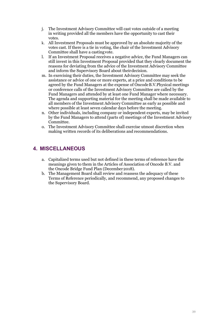- j. The Investment Advisory Committee will cast votes outside of a meeting in writing provided all the members have the opportunity to cast their votes.
- k. All Investment Proposals must be approved by an absolute majority of the votes cast. If there is a tie in voting, the chair of the Investment Advisory Committee shall have a castingvote.
- l. If an Investment Proposal receives a negative advice, the Fund Managers can still invest in this Investment Proposal provided that they clearly document the reasons for deviating from the advice of the Investment Advisory Committee and inform the Supervisory Board about theirdecision.
- m. In exercising their duties, the Investment Advisory Committee may seek the assistance or advice of one or more experts, at a price and conditions to be agreed by the Fund Managers at the expense of OncodeB.V.Physical meetings or conference calls of the Investment Advisory Committee are called by the Fund Managers and attended by at least one Fund Manager where necessary. The agenda and supporting material for the meeting shall be made available to all members of the Investment Advisory Committee as early as possible and where possible at least seven calendar days before the meeting.
- n. Other individuals, including company or independent experts, may be invited by the Fund Managers to attend (parts of) meetings of the Investment Advisory Committee.
- o. The Investment Advisory Committee shall exercise utmost discretion when making written records of its deliberations and recommendations.

### **4. MISCELLANEOUS**

- a. Capitalized terms used but not defined in these terms of reference have the meanings given to them in the Articles of Association of Oncode B.V. and the Oncode Bridge Fund Plan (December 2018).
- b. The Management Board shall review and reassess the adequacy of these Terms of Reference periodically, and recommend, any proposed changes to the Supervisory Board.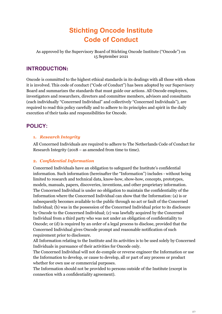# **Stichting Oncode Institute Code of Conduct**

As approved by the Supervisory Board of Stichting Oncode Institute ("Oncode") on 15 September 2021

### **INTRODUCTION:**

Oncode is committed to the highest ethical standards in its dealings with all those with whom it is involved. This code of conduct ("Code of Conduct") has been adopted by our Supervisory Board and summarizes the standards that must guide our actions. All Oncode employees, investigators and researchers, directors and committee members, advisors and consultants (each individually "Concerned Individual" and collectively "Concerned Individuals"), are required to read this policy carefully and to adhere to its principles and spirit in the daily execution of their tasks and responsibilities for Oncode.

### **POLICY:**

#### **1.** *Research Integrity*

All Concerned Individuals are required to adhere to The Netherlands Code of Conduct for Research Integrity (2018 – as amended from time to time).

#### **2.** *Confidential Information*

Concerned Individuals have an obligation to safeguard the Institute's confidential information. Such information (hereinafter the "Information") includes - without being limited to research and technical data, know-how, show-how, concepts, prototypes, models, manuals, papers, discoveries, inventions, and other proprietary information. The Concerned Individual is under no obligation to maintain the confidentiality of the Information where the Concerned Individual can show that the Information: (a) is or subsequently becomes available to the public through no act or fault of the Concerned Individual; (b) was in the possession of the Concerned Individual prior to its disclosure by Oncode to the Concerned Individual; (c) was lawfully acquired by the Concerned Individual from a third party who was not under an obligation of confidentiality to Oncode; or (d) is required by an order of a legal process to disclose, provided that the Concerned Individual gives Oncode prompt and reasonable notification of such requirement prior to disclosure.

All Information relating to the Institute and its activities is to be used solely by Concerned Individuals in pursuance of their activities for Oncode only.

The Concerned Individual will not de-compile or reverse engineer the Information or use the Information to develop, or cause to develop, all or part of any process or product whether for own use or commercial purposes.

The Information should not be provided to persons outside of the Institute (except in connection with a confidentiality agreement).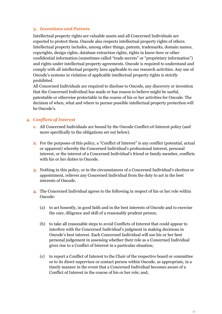#### **3.** *Inventions and Patents*

Intellectual property rights are valuable assets and all Concerned Individuals are expected to protect them. Oncode also respects intellectual property rights of others. Intellectual property includes, among other things, patents, trademarks, domain names, copyrights, design rights, database extraction rights, rights in know-how or other confidential information (sometimes called "trade secrets" or "proprietary information") and rights under intellectual property agreements. Oncode is required to understand and comply with all intellectual property laws applicable to our research activities. Any use of Oncode's systems in violation of applicable intellectual property rights is strictly prohibited.

All Concerned Individuals are required to disclose to Oncode, any discovery or invention that the Concerned Individual has made or has reason to believe might be useful, patentable or otherwise protectable in the course of his or her activities for Oncode. The decision of when, what and where to pursue possible intellectual property protection will be Oncode's.

#### **4.** *Conflicts of Interest*

- **1.** All Concerned Individuals are bound by the Oncode Conflict-of-Interest policy (and more specifically to the obligations set out below).
- **2.** For the purposes of this policy, a "Conflict of Interest" is any conflict (potential, actual or apparent) whereby the Concerned Individual's professional interest, personal interest, or the interest of a Concerned Individual's friend or family member, conflicts with his or her duties to Oncode.
- **3.** Nothing in this policy, or in the circumstances of a Concerned Individual's election or appointment, relieves any Concerned Individual from the duty to act in the best interests of Oncode.
- **4.** The Concerned Individual agrees to the following in respect of his or her role within Oncode:
	- (a) to act honestly, in good faith and in the best interests of Oncode and to exercise the care, diligence and skill of a reasonably prudent person;
	- (b) to take all reasonable steps to avoid Conflicts of Interest that could appear to interfere with the Concerned Individual's judgment in making decisions in Oncode's best interest. Each Concerned Individual will use his or her best personal judgement in assessing whether their role as a Concerned Individual gives rise to a Conflict of Interest in a particular situation;
	- (c) to report a Conflict of Interest to the Chair of the respective board or committee or to its direct supervisor or contact person within Oncode, as appropriate, in a timely manner in the event that a Concerned Individual becomes aware of a Conflict of Interest in the course of his or her role; and,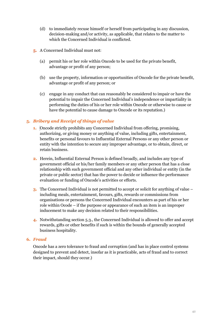- (d) to immediately recuse himself or herself from participating in any discussion, decision-making and/or activity, as applicable, that relates to the matter to which the Concerned Individual is conflicted.
- **5.** A Concerned Individual must not:
	- (a) permit his or her role within Oncode to be used for the private benefit, advantage or profit of any person;
	- (b) use the property, information or opportunities of Oncode for the private benefit, advantage or profit of any person; or
	- (c) engage in any conduct that can reasonably be considered to impair or have the potential to impair the Concerned Individual's independence or impartiality in performing the duties of his or her role within Oncode or otherwise to cause or have the potential to cause damage to Oncode or its reputation.)

#### **5.** *Bribery and Receipt of things of value*

- **1.** Oncode strictly prohibits any Concerned Individual from offering, promising, authorizing, or giving money or anything of value, including gifts, entertainment, benefits or personal favours to Influential External Persons or any other person or entity with the intention to secure any improper advantage, or to obtain, direct, or retain business.
- **2.** Herein, Influential External Person is defined broadly, and includes any type of government official or his/her family members or any other person that has a close relationship with such government official and any other individual or entity (in the private or public sector) that has the power to decide or influence the performance evaluation or funding of Oncode's activities or efforts.
- **3.** The Concerned Individual is not permitted to accept or solicit for anything of value including meals, entertainment, favours, gifts, rewards or commissions from organisations or persons the Concerned Individual encounters as part of his or her role within Ocode – if the purpose or appearance of such an item is an improper inducement to make any decision related to their responsibilities.
- **4.** Notwithstanding section 5.3., the Concerned Individual is allowed to offer and accept rewards, gifts or other benefits if such is within the bounds of generally accepted business hospitality.

#### **6.** *Fraud*

Oncode has a zero tolerance to fraud and corruption (and has in place control systems designed to prevent and detect, insofar as it is practicable, acts of fraud and to correct their impact, should they occur.)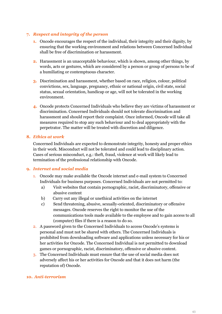#### **7.** *Respect and integrity of the person*

- **1.** Oncode encourages the respect of the individual, their integrity and their dignity, by ensuring that the working environment and relations between Concerned Individual shall be free of discrimination or harassment.
- **2.** Harassment is an unacceptable behaviour, which is shown, among other things, by words, acts or gestures, which are considered by a person or group of persons to be of a humiliating or contemptuous character.
- **3.** Discrimination and harassment, whether based on race, religion, colour, political convictions, sex, language, pregnancy, ethnic or national origin, civil state, social status, sexual orientation, handicap or age, will not be tolerated in the working environment.
- **4.** Oncode protects Concerned Individuals who believe they are victims of harassment or discrimination. Concerned Individuals should not tolerate discrimination and harassment and should report their complaint. Once informed, Oncode will take all measures required to stop any such behaviour and to deal appropriately with the perpetrator. The matter will be treated with discretion and diligence.

#### **8.** *Ethics at work*

Concerned Individuals are expected to demonstrate integrity, honesty and proper ethics in their work. Misconduct will not be tolerated and could lead to disciplinary action. Cases of serious misconduct, e.g.: theft, fraud, violence at work will likely lead to termination of the professional relationship with Oncode.

#### **9.** *Internet and social media*

- 1. Oncode may make available the Oncode internet and e-mail system to Concerned Individuals for business purposes. Concerned Individuals are not permitted to:
	- a) Visit websites that contain pornographic, racist, discriminatory, offensive or abusive content
	- b) Carry out any illegal or unethical activities on the internet
	- c) Send threatening, abusive, sexually-oriented, discriminatory or offensive messages. Oncode reserves the right to monitor the use of the communications tools made available to the employee and to gain access to all (computer) files if there is a reason to do so.
- 2. A password given to the Concerned Individuals to access Oncode's systems is personal and must not be shared with others. The Concerned Individuals is prohibited from downloading software and applications unless necessary for his or her activities for Oncode. The Concerned Individual is not permitted to download games or pornographic, racist, discriminatory, offensive or abusive content.
- 3. The Concerned Individuals must ensure that the use of social media does not adversely affect his or her activities for Oncode and that it does not harm (the reputation of) Oncode.

#### **10.** *Anti-terrorism*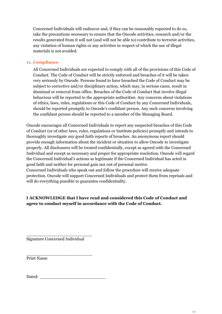Concerned Individuals will endeavor and, if they can be reasonably expected to do so, take the precautions necessary to ensure that the Oncode activities, research and/or the results generated from it will not (and will not be able to) contribute to terrorist activities, any violation of human rights or any activities in respect of which the use of illegal materials is not avoided.

#### **11.** *Compliance*

All Concerned Individuals are expected to comply with all of the provisions of this Code of Conduct. The Code of Conduct will be strictly enforced and breaches of it will be taken very seriously by Oncode. Persons found to have breached the Code of Conduct may be subject to corrective and/or disciplinary action, which may, in serious cases, result in dismissal or removal from office. Breaches of the Code of Conduct that involve illegal behaviour will be reported to the appropriate authorities. Any concerns about violations of ethics, laws, rules, regulations or this Code of Conduct by any Concerned Individuals, should be reported promptly to Oncode's confidant person. Any such concerns involving the confidant person should be reported to a member of the Managing Board.

Oncode encourages all Concerned Individuals to report any suspected breaches of this Code of Conduct (or of other laws, rules, regulations or Institute policies) promptly and intends to thoroughly investigate any good faith reports of breaches. An anonymous report should provide enough information about the incident or situation to allow Oncode to investigate properly. All disclosures will be treated confidentially, except as agreed with the Concerned Individual and except as necessary and proper for appropriate resolution. Oncode will regard the Concerned Individual's actions as legitimate if the Concerned Individual has acted in good faith and neither for personal gain nor out of personal motive. Concerned Individuals who speak out and follow the procedure will receive adequate

protection. Oncode will support Concerned Individuals and protect them from reprisals and will do everything possible to guarantee confidentiality.

#### **I ACKNOWLEDGE that I have read and considered this Code of Conduct and agree to conduct myself in accordance with the Code of Conduct.**

\_\_\_\_\_\_\_\_\_\_\_\_\_\_\_\_\_\_\_\_\_\_\_\_\_ Signature Concerned Individual

\_\_\_\_\_\_\_\_\_\_\_\_\_\_\_\_\_\_\_\_\_\_\_\_\_ Print Name

Dated: \_\_\_\_\_\_\_\_\_\_\_\_\_\_\_\_\_\_\_\_\_\_\_\_\_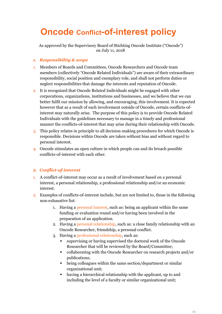# **Oncode Conflict-of-interest policy**

As approved by the Supervisory Board of Stichting Oncode Institute ("Oncode") on July 11, 2018

#### *1. Responsibility & scope*

- 1. Members of Boards and Committees, Oncode Researchers and Oncode team members (collectively "Oncode Related Individuals") are aware of their extraordinary responsibility, social position and exemplary role, and shall not perform duties or neglect responsibilities that damage the interests and reputation of Oncode.
- 2. It is recognized that Oncode Related Individuals might be engaged with other corporations, organizations, institutions and businesses, and we believe that we can better fulfil our mission by allowing, and encouraging, this involvement. It is expected however that as a result of such involvement outside of Oncode, certain conflicts-ofinterest may naturally arise. The purpose of this policy is to provide Oncode Related Individuals with the guidelines necessary to manage in a timely and professional manner the conflicts-of-interest that may arise during their relationship with Oncode.
- 3. This policy relates in principle to all decision-making procedures for which Oncode is responsible. Decisions within Oncode are taken without bias and without regard to personal interest.
- 4. Oncode stimulates an open culture in which people can and do broach possible conflicts-of-interest with each other.

#### *2. Conflict-of-interest*

- 1. A conflict-of-interest may occur as a result of involvement based on a personal interest, a personal relationship, a professional relationship and/or an economic interest.
- 2. Examples of conflicts-of-interest include, but are not limited to, those in the following non-exhaustive list:
	- 1. Having a personal interest, such as: being an applicant within the same funding or evaluation round and/or having been involved in the preparation of an application.
	- 2. Having a personal relationship, such as: a close family relationship with an Oncode Researcher, friendship, a personal conflict.
	- 3. Having a professional relationship, such as:
		- supervising or having supervised the doctoral work of the Oncode Researcher that will be reviewed by the Board/Committee;
		- collaborating with the Oncode Researcher on research projects and/or publications;
		- being colleagues within the same section/department or similar organizational unit;
		- having a hierarchical relationship with the applicant, up to and including the level of a faculty or similar organizational unit;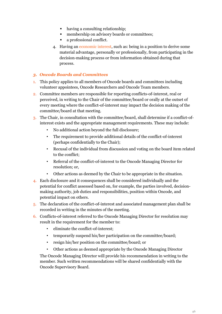- having a consulting relationship;
- **membership on advisory boards or committees;**
- a professional conflict.
- 4. Having an economic interest, such as: being in a position to derive some material advantage, personally or professionally, from participating in the decision-making process or from information obtained during that process.

#### *3. Oncode Boards and Committees*

- 1. This policy applies to all members of Oncode boards and committees including volunteer appointees, Oncode Researchers and Oncode Team members.
- 2. Committee members are responsible for reporting conflicts-of-interest, real or perceived, in writing to the Chair of the committee/board or orally at the outset of every meeting where the conflict-of-interest may impact the decision making of the committee/board at that meeting.
- 3. The Chair, in consultation with the committee/board, shall determine if a conflict-ofinterest exists and the appropriate management requirements. These may include:
	- No additional action beyond the full disclosure;
	- The requirement to provide additional details of the conflict-of-interest (perhaps confidentially to the Chair);
	- Recusal of the individual from discussion and voting on the board item related to the conflict;
	- Referral of the conflict-of-interest to the Oncode Managing Director for resolution; or,
	- Other actions as deemed by the Chair to be appropriate in the situation.
- 4. Each disclosure and it consequences shall be considered individually and the potential for conflict assessed based on, for example, the parties involved, decisionmaking authority, job duties and responsibilities, position within Oncode, and potential impact on others.
- 5. The declaration of the conflict-of-interest and associated management plan shall be recorded in writing in the minutes of the meeting.
- 6. Conflicts-of-interest referred to the Oncode Managing Director for resolution may result in the requirement for the member to:
	- eliminate the conflict-of-interest;
	- temporarily suspend his/her participation on the committee/board;
	- resign his/her position on the committee/board; or
	- Other actions as deemed appropriate by the Oncode Managing Director

The Oncode Managing Director will provide his recommendation in writing to the member. Such written recommendations will be shared confidentially with the Oncode Supervisory Board.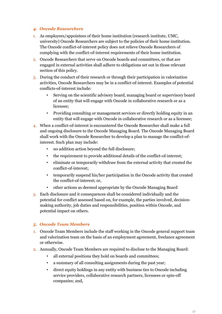#### *4. Oncode Researchers*

- 1. As employees/appointees of their home institution (research institute, UMC, university) Oncode Researchers are subject to the policies of their home institution. The Oncode conflict-of-interest policy does not relieve Oncode Researchers of complying with the conflict-of-interest requirements of their home institution.
- 2. Oncode Researchers that serve on Oncode boards and committees, or that are engaged in external activities shall adhere to obligations set out in those relevant section of this policy.
- 3. During the conduct of their research or through their participation in valorization activities, Oncode Researchers may be in a conflict-of-interest. Examples of potential conflicts-of-interest include:
	- Serving on the scientific advisory board, managing board or supervisory board of an entity that will engage with Oncode in collaborative research or as a licensee;
	- Providing consulting or management services or directly holding equity in an entity that will engage with Oncode in collaborative research or as a licensee;
- 4. When a conflict-of-interest is encountered the Oncode Researcher shall make a full and ongoing disclosure to the Oncode Managing Board. The Oncode Managing Board shall work with the Oncode Researcher to develop a plan to manage the conflict-ofinterest. Such plan may include:
	- no addition action beyond the full disclosure;
	- the requirement to provide additional details of the conflict-of-interest;
	- eliminate or temporarily withdraw from the external activity that created the conflict-of-interest;
	- temporarily suspend his/her participation in the Oncode activity that created the conflict-of-interest; or,
	- other actions as deemed appropriate by the Oncode Managing Board
- 5. Each disclosure and it consequences shall be considered individually and the potential for conflict assessed based on, for example, the parties involved, decisionmaking authority, job duties and responsibilities, position within Oncode, and potential impact on others.

#### *5. Oncode Team Members*

- 1. Oncode Team Members include the staff working in the Oncode general support team and valorization team on the basis of an employment agreement, freelance agreement or otherwise.
- 2. Annually, Oncode Team Members are required to disclose to the Managing Board:
	- all external positions they hold on boards and committees;
	- a summary of all consulting assignments during the past year;
	- direct equity holdings in any entity with business ties to Oncode including service providers, collaborative research partners, licensees or spin-off companies; and,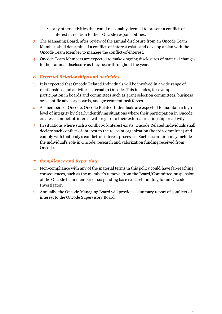- any other activities that could reasonably deemed to present a conflict-ofinterest in relation to their Oncode responsibilities.
- 3. The Managing Board, after review of the annual disclosure from an Oncode Team Member, shall determine if a conflict-of-interest exists and develop a plan with the Oncode Team Member to manage the conflict-of-interest.
- 4. Oncode Team Members are expected to make ongoing disclosures of material changes to their annual disclosure as they occur throughout the year.

#### *6. External Relationships and Activities*

- 1. It is expected that Oncode Related Individuals will be involved in a wide range of relationships and activities external to Oncode. This includes, for example, participation in boards and committees such as grant selection committees, business or scientific advisory boards, and government task forces.
- 2. As members of Oncode, Oncode Related Individuals are expected to maintain a high level of integrity by clearly identifying situations where their participation in Oncode creates a conflict-of-interest with regard to their external relationship or activity.
- 3. In situations where such a conflict-of-interest exists, Oncode Related Individuals shall declare such conflict-of-interest to the relevant organization (board/committee) and comply with that body's conflict-of-interest processes. Such declaration may include the individual's role in Oncode, research and valorization funding received from Oncode.

#### *7. Compliance and Reporting*

- 1. Non-compliance with any of the material terms in this policy could have far-reaching consequences, such as the member's removal from the Board/Committee, suspension of the Oncode team member or suspending base research funding for an Oncode Investigator.
- 2. Annually, the Oncode Managing Board will provide a summary report of conflicts-ofinterest to the Oncode Supervisory Board.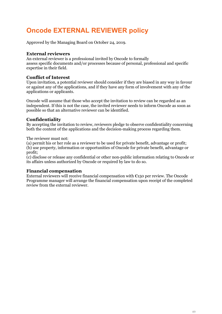# **Oncode EXTERNAL REVIEWER policy**

Approved by the Managing Board on October 24, 2019.

#### **External reviewers**

An external reviewer is a professional invited by Oncode to formally assess specific documents and/or processes because of personal, professional and specific expertise in their field.

#### **Conflict of Interest**

Upon invitation, a potential reviewer should consider if they are biased in any way in favour or against any of the applications, and if they have any form of involvement with any of the applications or applicants.

Oncode will assume that those who accept the invitation to review can be regarded as an independent. If this is not the case, the invited reviewer needs to inform Oncode as soon as possible so that an alternative reviewer can be identified.

#### **Confidentiality**

By accepting the invitation to review, reviewers pledge to observe confidentiality concerning both the content of the applications and the decision-making process regarding them.

The reviewer must not:

(a) permit his or her role as a reviewer to be used for private benefit, advantage or profit; (b) use property, information or opportunities of Oncode for private benefit, advantage or profit;

(c) disclose or release any confidential or other non-public information relating to Oncode or its affairs unless authorized by Oncode or required by law to do so.

#### **Financial compensation**

External reviewers will receive financial compensation with  $\epsilon$ 150 per review. The Oncode Programme manager will arrange the financial compensation upon receipt of the completed review from the external reviewer.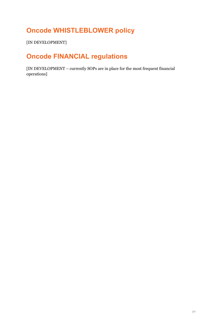# **Oncode WHISTLEBLOWER policy**

[IN DEVELOPMENT]

# **Oncode FINANCIAL regulations**

[IN DEVELOPMENT – currently SOPs are in place for the most frequent financial operations]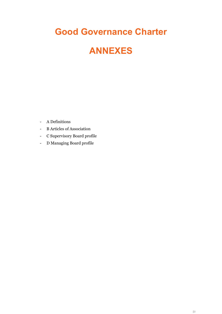# **Good Governance Charter**

# **ANNEXES**

- A Definitions
- B Articles of Association
- C Supervisory Board profile
- D Managing Board profile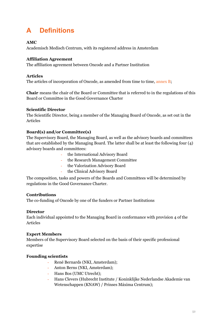# **A Definitions**

#### **AMC**

Academisch Medisch Centrum, with its registered address in Amsterdam

#### **Affiliation Agreement**

The affiliation agreement between Oncode and a Partner Institution

#### **Articles**

The articles of incorporation of Oncode, as amended from time to time, annex B;

**Chair** means the chair of the Board or Committee that is referred to in the regulations of this Board or Committee in the Good Governance Charter

#### **Scientific Director**

The Scientific Director, being a member of the Managing Board of Oncode, as set out in the Articles

#### **Board(s) and/or Committee(s)**

The Supervisory Board, the Managing Board, as well as the advisory boards and committees that are established by the Managing Board. The latter shall be at least the following four (4) advisory boards and committees:

- the International Advisory Board
- the Research Management Committee
- the Valorization Advisory Board
- the Clinical Advisory Board

The composition, tasks and powers of the Boards and Committees will be determined by regulations in the Good Governance Charter.

#### **Contributions**

The co-funding of Oncode by one of the funders or Partner Institutions

#### **Director**

Each individual appointed to the Managing Board in conformance with provision 4 of the Articles

#### **Expert Members**

Members of the Supervisory Board selected on the basis of their specific professional expertise

#### **Founding scientists**

- René Bernards (NKI, Amsterdam);
- Anton Berns (NKI, Amsterdam);
- Hans Bos (UMC Utrecht);
- Hans Clevers (Hubrecht Institute / Koninklijke Nederlandse Akademie van Wetenschappen (KNAW) / Prinses Máxima Centrum);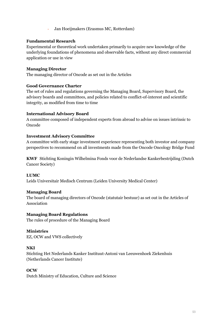- Jan Hoeijmakers (Erasmus MC, Rotterdam)

#### **Fundamental Research**

Experimental or theoretical work undertaken primarily to acquire new knowledge of the underlying foundations of phenomena and observable facts, without any direct commercial application or use in view

#### **Managing Director**

The managing director of Oncode as set out in the Articles

#### **Good Governance Charter**

The set of rules and regulations governing the Managing Board, Supervisory Board, the advisory boards and committees, and policies related to conflict-of-interest and scientific integrity, as modified from time to time

#### **International Advisory Board**

A committee composed of independent experts from abroad to advise on issues intrinsic to Oncode

#### **Investment Advisory Committee**

A committee with early stage investment experience representing both investor and company perspectives to recommend on all investments made from the Oncode Oncology Bridge Fund

**KWF** Stichting Koningin Wilhelmina Fonds voor de Nederlandse Kankerbestrijding (Dutch Cancer Society)

#### **LUMC**

Leids Universitair Medisch Centrum (Leiden University Medical Center)

#### **Managing Board**

The board of managing directors of Oncode (statutair bestuur) as set out in the Articles of Association

#### **Managing Board Regulations**

The rules of procedure of the Managing Board

#### **Ministries**

EZ, OCW and VWS collectively

#### **NKI**

Stichting Het Nederlands Kanker Instituut-Antoni van Leeuwenhoek Ziekenhuis (Netherlands Cancer Institute)

#### **OCW**

Dutch Ministry of Education, Culture and Science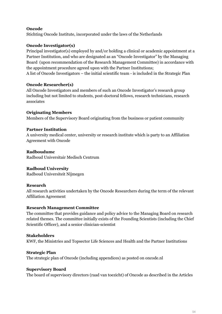#### **Oncode**

Stichting Oncode Institute, incorporated under the laws of the Netherlands

#### **Oncode Investigator(s)**

Principal investigator(s) employed by and/or holding a clinical or academic appointment at a Partner Institution, and who are designated as an "Oncode Investigator" by the Managing Board (upon recommendation of the Research Management Committee) in accordance with the appointment procedure agreed upon with the Partner Institutions; A list of Oncode Investigators – the initial scientific team - is included in the Strategic Plan

#### **Oncode Researcher(s)**

All Oncode Investigators and members of such an Oncode Investigator's research group including but not limited to students, post-doctoral fellows, research technicians, research associates

#### **Originating Members**

Members of the Supervisory Board originating from the business or patient community

#### **Partner Institution**

A university medical center, university or research institute which is party to an Affiliation Agreement with Oncode

#### **Radboudumc**

Radboud Universitair Medisch Centrum

#### **Radboud University**

Radboud Universiteit Nijmegen

#### **Research**

All research activities undertaken by the Oncode Researchers during the term of the relevant Affiliation Agreement

#### **Research Management Committee**

The committee that provides guidance and policy advice to the Managing Board on research related themes. The committee initially exists of the Founding Scientists (including the Chief Scientific Officer), and a senior clinician-scientist

#### **Stakeholders**

KWF, the Ministries and Topsector Life Sciences and Health and the Partner Institutions

#### **Strategic Plan**

The strategic plan of Oncode (including appendices) as posted on oncode.nl

#### **Supervisory Board**

The board of supervisory directors (raad van toezicht) of Oncode as described in the Articles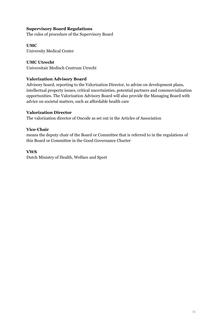#### **Supervisory Board Regulations**

The rules of procedure of the Supervisory Board

#### **UMC**

University Medical Center

#### **UMC Utrecht**

Universitair Medisch Centrum Utrecht

#### **Valorization Advisory Board**

Advisory board, reporting to the Valorization Director, to advise on development plans, intellectual property issues, critical uncertainties, potential partners and commercialization opportunities. The Valorization Advisory Board will also provide the Managing Board with advice on societal matters, such as affordable health care

#### **Valorization Director**

The valorization director of Oncode as set out in the Articles of Association

#### **Vice-Chair**

means the deputy chair of the Board or Committee that is referred to in the regulations of this Board or Committee in the Good Governance Charter

#### **VWS**

Dutch Ministry of Health, Welfare and Sport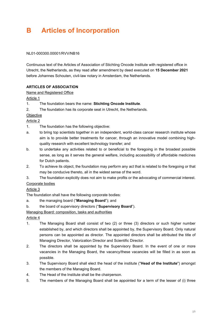# **B Articles of Incorporation**

#### NL01-000300.00001/RVV/NB16

Continuous text of the Articles of Association of Stichting Oncode Institute with registered office in Utrecht, the Netherlands, as they read after amendment by deed executed on **15 December 2021** before Johannes Schouten, civil-law notary in Amsterdam, the Netherlands.

#### **ARTICLES OF ASSOCIATION**

#### Name and Registered Office

Article 1

- 1. The foundation bears the name: **Stichting Oncode Institute**.
- 2. The foundation has its corporate seat in Utrecht, the Netherlands.

#### **Objective**

#### Article 2

- 1. The foundation has the following objective:
- a. to bring top scientists together in an independent, world-class cancer research institute whose aim is to provide better treatments for cancer, through an innovative model combining highquality research with excellent technology transfer; and
- b. to undertake any activities related to or beneficial to the foregoing in the broadest possible sense, as long as it serves the general welfare, including accessibility of affordable medicines for Dutch patients.
- 2. To achieve its object, the foundation may perform any act that is related to the foregoing or that may be conducive thereto, all in the widest sense of the word.
- 3. The foundation explicitly does not aim to make profits or the advocating of commercial interest.

#### Corporate bodies

#### Article 3

The foundation shall have the following corporate bodies:

- a. the managing board ("**Managing Board**"); and
- b. the board of supervisory directors ("**Supervisory Board**").

#### Managing Board: composition, tasks and authorities

#### Article 4

- 1. The Managing Board shall consist of two (2) or three (3) directors or such higher number established by, and which directors shall be appointed by, the Supervisory Board. Only natural persons can be appointed as director. The appointed directors shall be attributed the title of Managing Director, Valorization Director and Scientific Director.
- 2. The directors shall be appointed by the Supervisory Board. In the event of one or more vacancies in the Managing Board, the vacancy/these vacancies will be filled in as soon as possible.
- 3. The Supervisory Board shall elect the head of the institute ("**Head of the Institute**") amongst the members of the Managing Board.
- 4. The Head of the Institute shall be the chairperson.
- 5. The members of the Managing Board shall be appointed for a term of the lesser of (i) three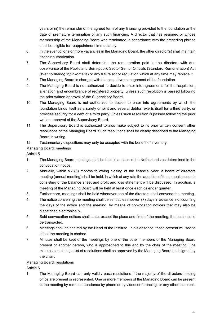years or (ii) the remainder of the agreed term of any financing provided to the foundation or the date of premature termination of any such financing. A director that has resigned or whose membership of the Managing Board was terminated in accordance with the preceding phrase shall be eligible for reappointment immediately.

- 6. In the event of one or more vacancies in the Managing Board, the other director(s) shall maintain its/their authorization.
- 7. The Supervisory Board shall determine the remuneration paid to the directors with due observance of the Public and Semi-public Sector Senior Officials (Standard Remuneration) Act (*Wet normering topinkomens*) or any future act or regulation which at any time may replace it.
- 8. The Managing Board is charged with the executive management of the foundation.
- 9. The Managing Board is not authorized to decide to enter into agreements for the acquisition, alienation and encumbrance of registered property, unless such resolution is passed following the prior written approval of the Supervisory Board.
- 10. The Managing Board is not authorized to decide to enter into agreements by which the foundation binds itself as a surety or joint and several debtor, exerts itself for a third party, or provides security for a debt of a third party, unless such resolution is passed following the prior written approval of the Supervisory Board.
- 11. The Supervisory Board is authorized to also make subject to its prior written consent other resolutions of the Managing Board. Such resolutions shall be clearly described to the Managing Board in writing.
- 12. Testamentary dispositions may only be accepted with the benefit of inventory.

#### Managing Board: meetings

#### Article 5

- 1. The Managing Board meetings shall be held in a place in the Netherlands as determined in the convocation notice.
- 2. Annually, within six (6) months following closing of the financial year, a board of directors meeting (annual meeting) shall be held, in which at any rate the adoption of the annual accounts consisting of the balance sheet and profit and loss statement will be discussed. In addition, a meeting of the Managing Board will be held at least once each calendar quarter.
- 3. Furthermore, meetings shall be held whenever one of the directors shall convene the meeting.
- 4. The notice convening the meeting shall be sent at least seven (7) days in advance, not counting the days of the notice and the meeting, by means of convocation notices that may also be dispatched electronically.
- 5. Said convocation notices shall state, except the place and time of the meeting, the business to be transacted.
- 6. Meetings shall be chaired by the Head of the Institute. In his absence, those present will see to it that the meeting is chaired.
- 7. Minutes shall be kept of the meetings by one of the other members of the Managing Board present or another person, who is approached to this end by the chair of the meeting. The minutes containing a list of resolutions shall be approved by the Managing Board and signed by the chair.

#### Managing Board: resolutions

Article 6

1. The Managing Board can only validly pass resolutions if the majority of the directors holding office are present or represented. One or more members of the Managing Board can be present at the meeting by remote attendance by phone or by videoconferencing, or any other electronic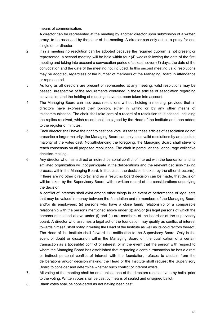means of communication.

A director can be represented at the meeting by another director upon submission of a written proxy, to be assessed by the chair of the meeting. A director can only act as a proxy for one single other director.

- 2. If in a meeting no resolution can be adopted because the required quorum is not present or represented, a second meeting will be held within four (4) weeks following the date of the first meeting and taking into account a convocation period of at least seven (7) days, the date of the convocation and the date of the meeting not included. In this second meeting valid resolutions may be adopted, regardless of the number of members of the Managing Board in attendance or represented.
- 3. As long as all directors are present or represented at any meeting, valid resolutions may be passed, irrespective of the requirements contained in these articles of association regarding convocation and the holding of meetings have not been taken into account.
- 4. The Managing Board can also pass resolutions without holding a meeting, provided that all directors have expressed their opinion, either in writing or by any other means of telecommunication. The chair shall take care of a record of a resolution thus passed, including the replies received, which record shall be signed by the Head of the Institute and then added to the register of minutes.
- 5. Each director shall have the right to cast one vote. As far as these articles of association do not prescribe a larger majority, the Managing Board can only pass valid resolutions by an absolute majority of the votes cast. Notwithstanding the foregoing, the Managing Board shall strive to reach consensus on all proposed resolutions. The chair in particular shall encourage collective decision-making.
- 6. Any director who has a direct or indirect personal conflict of interest with the foundation and its affiliated organization will not participate in the deliberations and the relevant decision-making process within the Managing Board. In that case, the decision is taken by the other director(s). If there are no other director(s) and as a result no board decision can be made, that decision will be taken by the Supervisory Board, with a written record of the considerations underlying the decision.

A conflict of interests shall exist among other things in an event of performance of legal acts that may be valued in money between the foundation and (i) members of the Managing Board and/or its employees; (ii) persons who have a close family relationship or a comparable relationship with the persons mentioned above under (i); and/or (iii) legal persons of which the persons mentioned above under (i) and (ii) are members of the board or of the supervisory board. A director who assumes a legal act of the foundation may qualify as conflict of interest towards himself, shall notify in writing the Head of the Institute as well as its co-directors thereof. The Head of the Institute shall forward the notification to the Supervisory Board. Only in the event of doubt or discussion within the Managing Board on the qualification of a certain transaction as a (possible) conflict of interest, or in the event that the person with respect to whom the Managing Board has established that regarding a certain transaction he has a direct or indirect personal conflict of interest with the foundation, refuses to abstain from the deliberations and/or decision making, the Head of the Institute shall request the Supervisory Board to consider and determine whether such conflict of interest exists.

- 7. All voting at the meeting shall be oral, unless one of the directors requests vote by ballot prior to the voting. Written votes shall be cast by means of sealed and unsigned ballot.
- 8. Blank votes shall be considered as not having been cast.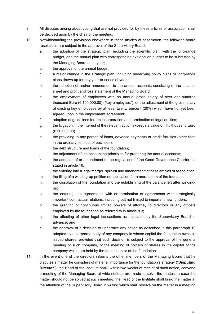- 9. All disputes arising about voting that are not provided for by these articles of association shall be decided upon by the chair of the meeting.
- 10. Notwithstanding the provisions elsewhere in these articles of association, the following board resolutions are subject to the approval of the Supervisory Board:
	- a. the adoption of the strategic plan, including the scientific plan, with the long-range budget, and the annual plan with corresponding exploitation budget to be submitted by the Managing Board each year;
	- b. the approval of the annual budget;
	- c. a major change in the strategic plan, including underlying policy plans or long-range plans drawn up for any year or series of years;
	- d. the adoption of and/or amendment to the annual accounts consisting of the balance sheet and profit and loss statement of the Managing Board;
	- e. the employment of employees with an annual gross salary of over one-hundred thousand Euro (€ 100,000.00) ("key employees"), or the adjustment of the gross salary of existing key employees by at least twenty percent (20%) which have not yet been agreed upon in the employment agreement;
	- f. adoption of guidelines for the incorporation and termination of legal entities;
	- g. the litigation, if the interest of the relevant action exceeds a value of fifty thousand Euro (€ 50,000.00).
	- h. the providing to any person of loans, advance payments or credit facilities (other than in the ordinary conduct of business);
	- i. the debt structure and loans of the foundation;
	- j. the adjustment of the accounting principles for preparing the annual accounts;
	- k. the adoption of or amendment to the regulations of the Good Governance Charter, as stated in article 16;
	- I. the entering into a legal merger, split-off and amendment to these articles of association;
	- m. the filing of a winding-up petition or application for a moratorium of the foundation;
	- n. the dissolution of the foundation and the establishing of the balance left after windingup;
	- o. the entering into agreements with or termination of agreements with strategically important contractual relations, including but not limited to important new funders;
	- p. the granting of continuous limited powers of attorney to directors or any officers employed by the foundation as referred to in article 8.3;
	- q. the effecting of other legal transactions as stipulated by the Supervisory Board in advance; and
	- r. the approval of a decision to undertake any action as described in this paragraph 10 adopted by a corporate body of any company in whose capital the foundation owns all issued shares, provided that such decision is subject to the approval of the general meeting of such company, of the meeting of holders of shares in the capital of the company which are held by the foundation or of the foundation.
- 11. In the event one of the directors informs the other members of the Managing Board that he disputes a matter he considers of material importance for the foundation's strategy ("**Disputing Director**"), the Head of the Institute shall, within two weeks of receipt of such notice, convene a meeting of the Managing Board at which efforts are made to solve the matter. In case the matter should not be solved at such meeting, the Head of the Institute shall bring the matter at the attention of the Supervisory Board in writing which shall resolve on the matter in a meeting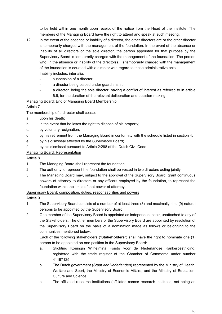to be held within one month upon receipt of the notice from the Head of the Institute. The members of the Managing Board have the right to attend and speak at such meeting.

- 12. In the event of the absence or inability of a director, the other directors are or the other director is temporarily charged with the management of the foundation. In the event of the absence or inability of all directors or the sole director, the person appointed for that purpose by the Supervisory Board is temporarily charged with the management of the foundation. The person who, in the absence or inability of the director(s), is temporarily charged with the management of the foundation is equated with a director with regard to these administrative acts. Inability includes, inter alia:
	- suspension of a director;
	- a director being placed under quardianship;
		- a director, being the sole director, having a conflict of interest as referred to in article 6.6, for the duration of the relevant deliberation and decision-making.

#### Managing Board: End of Managing Board Membership

#### Article 7

The membership of a director shall cease:

- a. upon his death;
- b. in the event that he loses the right to dispose of his property;
- c. by voluntary resignation;
- d. by his retirement from the Managing Board in conformity with the schedule listed in section 4;
- e. by his dismissal effected by the Supervisory Board;
- f. by his dismissal pursuant to Article 2:298 of the Dutch Civil Code.

#### Managing Board: Representation

#### Article 8

- 1. The Managing Board shall represent the foundation.
- 2. The authority to represent the foundation shall be vested in two directors acting jointly.
- 3. The Managing Board may, subject to the approval of the Supervisory Board, grant continuous powers of attorney to directors or any officers employed by the foundation, to represent the foundation within the limits of that power of attorney.

#### Supervisory Board: composition, duties, responsabilities and powers

#### Article 9

- 1. The Supervisory Board consists of a number of at least three (3) and maximally nine (9) natural persons to be appointed by the Supervisory Board.
- 2. One member of the Supervisory Board is appointed as independent chair, unattached to any of the Stakeholders. The other members of the Supervisory Board are appointed by resolution of the Supervisory Board on the basis of a nomination made as follows or belonging to the communities mentioned below.

Each of the following stakeholders ("**Stakeholders**") shall have the right to nominate one (1) person to be appointed on one position in the Supervisory Board:

- a. Stichting Koningin Wilhelmina Fonds voor de Nederlandse Kankerbestrijding, registered with the trade register of the Chamber of Commerce under number 41197125;
- b. The Dutch government (*Staat der Nederlanden*) represented by the Ministry of Health, Welfare and Sport, the Ministry of Economic Affairs, and the Ministry of Education, Culture and Science;
- c. The affiliated research institutions (affiliated cancer research institutes, not being an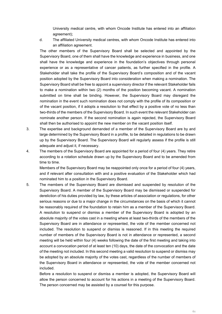University medical centre, with whom Oncode Institute has entered into an affiliation agreement);

d. The affiliated University medical centres, with whom Oncode Institute has entered into an affiliation agreement.

The other members of the Supervisory Board shall be selected and appointed by the Supervisory Board, one of them shall have the knowledge and experience in business, and one shall have the knowledge and experience in the foundation's objectives through personal experience or as a representative of cancer patients, as further specified in the profile. A Stakeholder shall take the profile of the Supervisory Board's composition and of the vacant position adopted by the Supervisory Board into consideration when making a nomination. The Supervisory Board shall be free to appoint a supervisory director if the relevant Stakeholder fails to make a nomination within two (2) months of the position becoming vacant. A nomination submitted on time shall be binding. However, the Supervisory Board may disregard the nomination in the event such nomination does not comply with the profile of its composition or of the vacant position, if it adopts a resolution to that effect by a positive vote of no less than two-thirds of the members of the Supervisory Board. In such event the relevant Stakeholder can nominate another person. If the second nomination is again rejected, the Supervisory Board shall then be authorised to appoint the new member on the vacant position itself.

- 3. The expertise and background demanded of a member of the Supervisory Board are by and large determined by the Supervisory Board in a profile, to be detailed in regulations to be drawn up by the Supervisory Board. The Supervisory Board will regularly assess if the profile is still adequate and adjust it, if necessary.
- 4. The members of the Supervisory Board are appointed for a period of four (4) years. They retire according to a rotation schedule drawn up by the Supervisory Board and to be amended from time to time.

Members of the Supervisory Board may be reappointed only once for a period of four (4) years, and if relevant after consultation with and a positive evaluation of the Stakeholder which had nominated him to a position in the Supervisory Board.

5. The members of the Supervisory Board are dismissed and suspended by resolution of the Supervisory Board. A member of the Supervisory Board may be dismissed or suspended for dereliction of his duties provided by law, by these articles of association or regulations, for other serious reasons or due to a major change in the circumstances on the basis of which it cannot be reasonably required of the foundation to retain him as a member of the Supervisory Board. A resolution to suspend or dismiss a member of the Supervisory Board is adopted by an absolute majority of the votes cast in a meeting where at least two-thirds of the members of the Supervisory Board are in attendance or represented, the vote of the member concerned not included. The resolution to suspend or dismiss is reasoned. If in this meeting the required number of members of the Supervisory Board is not in attendance or represented, a second meeting will be held within four (4) weeks following the date of the first meeting and taking into account a convocation period of at least ten (10) days, the date of the convocation and the date of the meeting not included. In this second meeting a valid resolution to suspend or dismiss may be adopted by an absolute majority of the votes cast, regardless of the number of members of the Supervisory Board in attendance or represented, the vote of the member concerned not included.

Before a resolution to suspend or dismiss a member is adopted, the Supervisory Board will allow the person concerned to account for his actions in a meeting of the Supervisory Board. The person concerned may be assisted by a counsel for this purpose.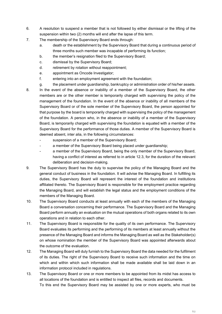- 6. A resolution to suspend a member that is not followed by either dismissal or the lifting of the suspension within two (2) months will end after the lapse of this term.
- 7. The membership of the Supervisory Board ends through:
	- a. death or the establishment by the Supervisory Board that during a continuous period of three months such member was incapable of performing its function;
	- b. the member's resignation filed to the Supervisory Board;
	- c. dismissal by the Supervisory Board;
	- d. retirement by rotation without reappointment;
	- e. appointment as Oncode Investigator;
	- f. entering into an employment agreement with the foundation;
	- g. the placement under guardianship, bankruptcy or administration order of his/her assets.
- 8. In the event of the absence or inability of a member of the Supervisory Board, the other members are or the other member is temporarily charged with supervising the policy of the management of the foundation. In the event of the absence or inability of all members of the Supervisory Board or of the sole member of the Supervisory Board, the person appointed for that purpose by the board is temporarily charged with supervising the policy of the management of the foundation. A person who, in the absence or inability of a member of the Supervisory Board, is temporarily charged with supervising the foundation is equated with a member of the Supervisory Board for the performance of those duties. A member of the Supervisory Board is deemed absent, inter alia, in the following circumstances:
	- suspension of a member of the Supervisory Board;
	- a member of the Supervisory Board being placed under guardianship;
	- a member of the Supervisory Board, being the only member of the Supervisory Board, having a conflict of interest as referred to in article 12.3, for the duration of the relevant deliberation and decision-making.
- 9. The Supervisory Board has the duty to supervise the policy of the Managing Board and the general conduct of business in the foundation. It will advise the Managing Board. In fulfilling its duties, the Supervisory Board will represent the interest of the foundation and institutions affiliated thereto. The Supervisory Board is responsible for the employment practice regarding the Managing Board, and will establish the legal status and the employment conditions of the members of the Managing Board.
- 10. The Supervisory Board conducts at least annually with each of the members of the Managing Board a conversation concerning their performance. The Supervisory Board and the Managing Board perform annually an evaluation on the mutual operations of both organs related to its own operations and in relation to each other.
- 11. The Supervisory Board is responsible for the quality of its own performance. The Supervisory Board evaluates its performing and the performing of its members at least annually without the presence of the Managing Board and informs the Managing Board as well as the Stakeholder(s) on whose nomination the member of the Supervisory Board was appointed afterwards about the outcome of the evaluation.
- 12. The Managing Board will duly furnish to the Supervisory Board the data needed for the fulfilment of its duties. The right of the Supervisory Board to receive such information and the time on which and within which such information shall be made available shall be laid down in an information protocol included in regulations.
- 13. The Supervisory Board or one or more members to be appointed from its midst has access to all locations of the foundation and is entitled to inspect all files, records and documents. To this end the Supervisory Board may be assisted by one or more experts, who must be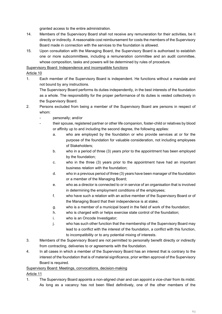granted access to the entire administration.

- 14. Members of the Supervisory Board shall not receive any remuneration for their activities, be it directly or indirectly. A reasonable cost reimbursement for costs the members of the Supervisory Board made in connection with the services to the foundation is allowed.
- 15. Upon consultation with the Managing Board, the Supervisory Board is authorised to establish one or more subcommittees, including a remuneration committee and an audit committee, whose composition, tasks and powers will be determined by rules of procedure.

#### Supervisory Board: Independence and incompatible functions

#### Article 10

1. Each member of the Supervisory Board is independent. He functions without a mandate and not bound by any instructions.

The Supervisory Board performs its duties independently, in the best interests of the foundation as a whole. The responsibility for the proper performance of its duties is vested collectively in the Supervisory Board.

- 2. Persons excluded from being a member of the Supervisory Board are persons in respect of whom:
	- personally; and/or
	- their spouse, registered partner or other life companion, foster-child or relatives by blood or affinity up to and including the second degree, the following applies:
		- a. who are employed by the foundation or who provide services at or for the purpose of the foundation for valuable consideration, not including employees of Stakeholders;
		- b. who in a period of three (3) years prior to the appointment has been employed by the foundation;
		- c. who in the three (3) years prior to the appointment have had an important business relation with the foundation;
		- d. who in a previous period of three (3) years have been manager of the foundation or a member of the Managing Board;
		- e. who as a director is connected to or in service of an organisation that is involved in determining the employment conditions of the employees;
		- f. who have such a relation with an active member of the Supervisory Board or of the Managing Board that their independence is at stake;
		- g. who is a member of a municipal board in the field of work of the foundation;
		- h. who is charged with or helps exercise state control of the foundation;
		- i. who is an Oncode Investigator;
		- j. who has such other function that the membership of the Supervisory Board may lead to a conflict with the interest of the foundation, a conflict with this function, to incompatibility or to any potential mixing of interests.
- 3. Members of the Supervisory Board are not permitted to personally benefit directly or indirectly from contracting, deliveries to or agreements with the foundation.
- 4. In all cases in which a member of the Supervisory Board has an interest that is contrary to the interest of the foundation that is of material significance, prior written approval of the Supervisory Board is required.

#### Supervisory Board: Meetings, convocations, decision-making

#### Article 11

1. The Supervisory Board appoints a non-aligned chair and can appoint a vice-chair from its midst. As long as a vacancy has not been filled definitively, one of the other members of the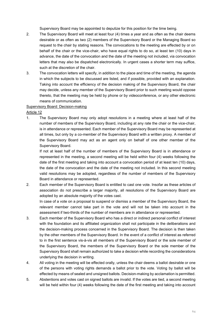Supervisory Board may be appointed to deputize for this position for the time being.

- 2. The Supervisory Board will meet at least four (4) times a year and as often as the chair deems desirable or as often as two (2) members of the Supervisory Board or the Managing Board so request to the chair by stating reasons. The convocations to the meeting are effected by or on behalf of the chair or the vice-chair, who have equal rights to do so, at least ten (10) days in advance, the date of the convocation and the date of the meeting not included, via convocation letters that may also be dispatched electronically. In urgent cases a shorter term may suffice, such at the discretion of the chair.
- 3. The convocation letters will specify, in addition to the place and time of the meeting, the agenda in which the subjects to be discussed are listed, and if possible, provided with an explanation. Taking into account the efficiency of the decision making of the Supervisory Board, the chair may decide, unless any member of the Supervisory Board prior to such meeting would oppose thereto, that the meeting may be held by phone or by videoconference, or any other electronic means of communication.

#### Supervisory Board: Decision-making

#### Article 12

1. The Supervisory Board may only adopt resolutions in a meeting where at least half of the number of members of the Supervisory Board, including at any rate the chair or the vice-chair, is in attendance or represented. Each member of the Supervisory Board may be represented at all times, but only by a co-member of the Supervisory Board with a written proxy. A member of the Supervisory Board may act as an agent only on behalf of one other member of the Supervisory Board.

If not at least half of the number of members of the Supervisory Board is in attendance or represented in the meeting, a second meeting will be held within four (4) weeks following the date of the first meeting and taking into account a convocation period of at least ten (10) days, the date of the convocation and the date of the meeting not included. In this second meeting valid resolutions may be adopted, regardless of the number of members of the Supervisory Board in attendance or represented.

2. Each member of the Supervisory Board is entitled to cast one vote. Insofar as these articles of association do not prescribe a larger majority, all resolutions of the Supervisory Board are adopted by an absolute majority of the votes cast.

In case of a vote on a proposal to suspend or dismiss a member of the Supervisory Board, the relevant member cannot take part in the vote and will not be taken into account in the assessment if two-thirds of the number of members are in attendance or represented.

- 3. Each member of the Supervisory Board who has a direct or indirect personal conflict of interest with the foundation and its affiliated organization shall not participate in the deliberations and the decision-making process concerned in the Supervisory Board. The decision is then taken by the other members of the Supervisory Board. In the event of a conflict of interest as referred to in the first sentence vis-à-vis all members of the Supervisory Board or the sole member of the Supervisory Board, the members of the Supervisory Board or the sole member of the Supervisory Board shall remain authorized to take a decision while recording the considerations underlying the decision in writing.
- 4. All voting in the meeting will be effected orally, unless the chair deems a ballot desirable or one of the persons with voting rights demands a ballot prior to the vote. Voting by ballot will be effected by means of sealed and unsigned ballots. Decision-making by acclamation is permitted.
- 5. Abstentions and votes cast on signed ballots are invalid. If the votes are tied, a second meeting will be held within four (4) weeks following the date of the first meeting and taking into account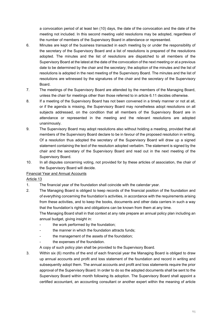a convocation period of at least ten (10) days, the date of the convocation and the date of the meeting not included. In this second meeting valid resolutions may be adopted, regardless of the number of members of the Supervisory Board in attendance or represented.

- 6. Minutes are kept of the business transacted in each meeting by or under the responsibility of the secretary of the Supervisory Board and a list of resolutions is prepared of the resolutions adopted. The minutes and the list of resolutions are dispatched to all members of the Supervisory Board at the latest at the date of the convocation of the next meeting or at a previous date to be determined by the chair and the secretary; the adoption of the minutes and the list of resolutions is adopted in the next meeting of the Supervisory Board. The minutes and the list of resolutions are witnessed by the signatures of the chair and the secretary of the Supervisory Board.
- 7. The meetings of the Supervisory Board are attended by the members of the Managing Board, unless the chair for meetings other than those referred to in article 6.11 decides otherwise.
- 8. If a meeting of the Supervisory Board has not been convened in a timely manner or not at all, or if the agenda is missing, the Supervisory Board may nonetheless adopt resolutions on all subjects addressed, on the condition that all members of the Supervisory Board are in attendance or represented in the meeting and the relevant resolutions are adopted unanimously.
- 9. The Supervisory Board may adopt resolutions also without holding a meeting, provided that all members of the Supervisory Board declare to be in favour of the proposed resolution in writing. Of a resolution thus adopted the secretary of the Supervisory Board will draw up a signed statement containing the text of the resolution adopted verbatim. The statement is signed by the chair and the secretary of the Supervisory Board and read out in the next meeting of the Supervisory Board.
- 10. In all disputes concerning voting, not provided for by these articles of association, the chair of the Supervisory Board will decide.

Financial Year and Annual Accounts

#### Article 13

- 1. The financial year of the foundation shall coincide with the calendar year.
- 2. The Managing Board is obliged to keep records of the financial position of the foundation and of everything concerning the foundation's activities, in accordance with the requirements arising from these activities, and to keep the books, documents and other data carriers in such a way that the foundation's rights and obligations can be known from them at any time.

The Managing Board shall in that context at any rate prepare an annual policy plan including an annual budget, giving insight in:

- the work performed by the foundation;
- the manner in which the foundation attracts funds;
- the management of the assets of the foundation;
- the expenses of the foundation.
- A copy of such policy plan shall be provided to the Supervisory Board.
- 3. Within six (6) months of the end of each financial year the Managing Board is obliged to draw up annual accounts and profit and loss statement of the foundation and record in writing and subsequently adopt them. The annual accounts and profit and loss statements require the prior approval of the Supervisory Board. In order to do so the adopted documents shall be sent to the Supervisory Board within month following its adoption. The Supervisory Board shall appoint a certified accountant, an accounting consultant or another expert within the meaning of article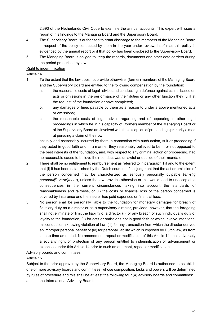2:393 of the Netherlands Civil Code to examine the annual accounts. This expert will issue a report of his findings to the Managing Board and the Supervisory Board.

- 4. The Supervisory Board is authorized to grant discharge to the members of the Managing Board in respect of the policy conducted by them in the year under review, insofar as this policy is evidenced by the annual report or if that policy has been disclosed to the Supervisory Board.
- 5. The Managing Board is obliged to keep the records, documents and other data carriers during the period prescribed by law.

#### Right to indemnification

#### Article 14

- 1. To the extent that the law does not provide otherwise, (former) members of the Managing Board and the Supervisory Board are entitled to the following compensation by the foundation:
	- a. the reasonable costs of legal advice and conducting a defence against claims based on acts or omissions in the performance of their duties or any other function they fulfil at the request of the foundation or have completed;
	- b. any damages or fines payable by them as a reason to under a above mentioned acts or omissions;
	- c. the reasonable costs of legal advice regarding and of appearing in other legal proceedings in which he in his capacity of (former) member of the Managing Board or of the Supervisory Board are involved with the exception of proceedings primarily aimed at pursuing a claim of their own,

actually and reasonably incurred by them in connection with such action, suit or proceeding if they acted in good faith and in a manner they reasonably believed to be in or not opposed to the best interests of the foundation, and, with respect to any criminal action or proceeding, had no reasonable cause to believe their conduct was unlawful or outside of their mandate.

- 2. There shall be no entitlement to reimbursement as referred to in paragraph 1 if and to the extent that (i) it has been established by the Dutch court in a final judgment that the act or omission of the person concerned may be characterized as seriously personally culpable (*ernstig persoonlijk verwijtbaar*), unless the law provides otherwise or this would lead to unacceptable consequences in the current circumstances taking into account the standards of reasonableness and fairness, or (ii) the costs or financial loss of the person concerned is covered by insurance and the insurer has paid expenses or financial loss.
- 3. No person shall be personally liable to the foundation for monetary damages for breach of fiduciary duty as a director or as a supervisory director, provided, however, that the foregoing shall not eliminate or limit the liability of a director (i) for any breach of such individual's duty of loyalty to the foundation, (ii) for acts or omissions not in good faith or which involve intentional misconduct or a knowing violation of law, (iii) for any transaction from which the director derived an improper personal benefit or (iv) for personal liability which is imposed by Dutch law, as from time to time amended. No amendment, repeal or modification of this Article 14 shall adversely affect any right or protection of any person entitled to indemnification or advancement or expenses under this Article 14 prior to such amendment, repeal or modification.

#### Advisory boards and committees

#### Article 15

Subject to the prior approval by the Supervisory Board, the Managing Board is authorised to establish one or more advisory boards and committees, whose composition, tasks and powers will be determined by rules of procedure and this shall be at least the following four (4) advisory boards and committees:

a. the International Advisory Board;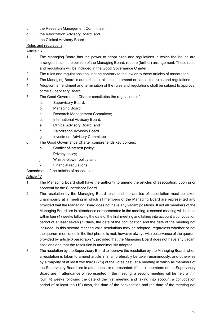- b. the Research Management Committee;
- c. the Valorization Advisory Board; and
- d. the Clinical Advisory Board.

#### Rules and regulations

#### Article 16

- 1. The Managing Board has the power to adopt rules and regulations in which the issues are arranged that, in the opinion of the Managing Board, require (further) arrangement. These rules and regulations will be included in the Good Governance Charter.
- 2. The rules and regulations shall not be contrary to the law or to these articles of association.
- 3. The Managing Board is authorised at all times to amend or cancel the rules and regulations.
- 4. Adoption, amendment and termination of the rules and regulations shall be subject to approval of the Supervisory Board.
- 5. The Good Governance Charter constitutes the regulations of:
	- a. Supervisory Board;
		- b. Managing Board;
		- c. Research Management Committee;
		- d. International Advisory Board;
		- e. Clinical Advisory Board; and
		- f. Valorization Advisory Board.
	- g. Investment Advisory Committee
- 6. The Good Governance Charter comprehends key policies:
	- h. Conflict of interest policy;
	- i. Privacy policy;
	- j. Whistle-blower policy; and
	- k. Financial regulations.

#### Amendment of the articles of association

#### Article 17

- 1. The Managing Board shall have the authority to amend the articles of association, upon prior approval by the Supervisory Board.
- 2. The resolution by the Managing Board to amend the articles of association must be taken unanimously at a meeting in which all members of the Managing Board are represented and provided that the Managing Board does not have any vacant positions. If not all members of the Managing Board are in attendance or represented in the meeting, a second meeting will be held within four (4) weeks following the date of the first meeting and taking into account a convocation period of at least seven (7) days, the date of the convocation and the date of the meeting not included. In this second meeting valid resolutions may be adopted, regardless whether or not the quorum mentioned in the first phrase is met, however always with observance of the quorum provided by article 6 paragraph 1, provided that the Managing Board does not have any vacant positions and that the resolution is unanimously adopted.
- 3. The resolution by the Supervisory Board to approve the resolution by the Managing Board, when a resolution is taken to amend article 9, shall preferably be taken unanimously, and otherwise by a majority of at least two thirds (2/3) of the votes cast, at a meeting in which all members of the Supervisory Board are in attendance or represented. If not all members of the Supervisory Board are in attendance or represented in the meeting, a second meeting will be held within four (4) weeks following the date of the first meeting and taking into account a convocation period of at least ten (10) days, the date of the convocation and the date of the meeting not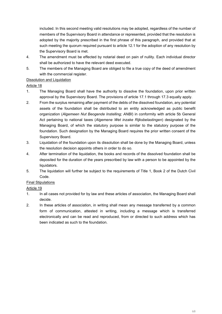included. In this second meeting valid resolutions may be adopted, regardless of the number of members of the Supervisory Board in attendance or represented, provided that the resolution is adopted by the majority prescribed in the first phrase of this paragraph, and provided that at such meeting the quorum required pursuant to article 12.1 for the adoption of any resolution by the Supervisory Board is met.

- 4. The amendment must be effected by notarial deed on pain of nullity. Each individual director shall be authorized to have the relevant deed executed.
- 5. The members of the Managing Board are obliged to file a true copy of the deed of amendment with the commercial register.

#### Dissolution and Liquidation

#### Article 18

- 1. The Managing Board shall have the authority to dissolve the foundation, upon prior written approval by the Supervisory Board. The provisions of article 17.1 through 17.3 equally apply.
- 2. From the surplus remaining after payment of the debts of the dissolved foundation, any potential assets of the foundation shall be distributed to an entity acknowledged as public benefit organization (*Algemeen Nut Beogende Instelling; ANBI*) in conformity with article 5b General Act pertaining to national taxes (*Algemene Wet inzake Rijksbelastingen*) designated by the Managing Board, of which the statutory purpose is similar to the statutory purpose of the foundation. Such designation by the Managing Board requires the prior written consent of the Supervisory Board.
- 3. Liquidation of the foundation upon its dissolution shall be done by the Managing Board, unless the resolution decision appoints others in order to do so.
- 4. After termination of the liquidation, the books and records of the dissolved foundation shall be deposited for the duration of the years prescribed by law with a person to be appointed by the liquidators.
- 5. The liquidation will further be subject to the requirements of Title 1, Book 2 of the Dutch Civil Code.

#### Final Stipulations

#### Article 19

- 1. In all cases not provided for by law and these articles of association, the Managing Board shall decide.
- 2. In these articles of association, in writing shall mean any message transferred by a common form of communication, attested in writing, including a message which is transferred electronically and can be read and reproduced, from or directed to such address which has been indicated as such to the foundation.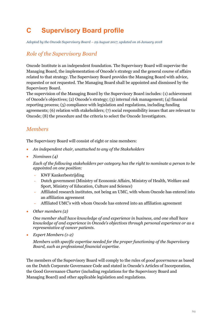# **C Supervisory Board profile**

*Adopted by the Oncode Supervisory Board – 29 August 2017, updated on 16 January 2018*

### *Role of the Supervisory Board*

Oncode Institute is an independent foundation. The Supervisory Board will supervise the Managing Board, the implementation of Oncode's strategy and the general course of affairs related to that strategy. The Supervisory Board provides the Managing Board with advice, requested or not requested. The Managing Board shall be appointed and dismissed by the Supervisory Board.

The supervision of the Managing Board by the Supervisory Board includes: (1) achievement of Oncode's objectives; (2) Oncode's strategy; (3) internal risk management; (4) financial reporting process; (5) compliance with legislation and regulations, including funding agreements; (6) relation with stakeholders; (7) social responsibility issues that are relevant to Oncode; (8) the procedure and the criteria to select the Oncode Investigators.

## *Members*

The Supervisory Board will consist of eight or nine members:

- *An independent chair, unattached to any of the Stakeholders*
- *Nominees (4)*

*Each of the following stakeholders per category has the right to nominate a person to be appointed on one position:*

- KWF Kankerbestrijding
- Dutch government (Ministry of Economic Affairs, Ministry of Health, Welfare and Sport, Ministry of Education, Culture and Science)
- Affiliated research institutes, not being an UMC, with whom Oncode has entered into an affiliation agreement
- Affiliated UMC's with whom Oncode has entered into an affiliation agreement
- *Other members (2)*

*One member shall have knowledge of and experience in business, and one shall have knowledge of and experience in Oncode's objectives through personal experience or as a representative of cancer patients.*

• *Expert Members (1-2)* 

*Members with specific expertise needed for the proper functioning of the Supervisory Board, such as professional financial expertise.* 

The members of the Supervisory Board will comply to the rules of *good governance* as based on the Dutch Corporate Governance Code and stated in Oncode's Articles of Incorporation, the Good Governance Charter (including regulations for the Supervisory Board and Managing Board) and other applicable legislation and regulations.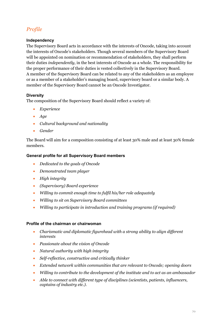## *Profile*

#### **Independency**

The Supervisory Board acts in accordance with the interests of Oncode, taking into account the interests of Oncode's stakeholders. Though several members of the Supervisory Board will be appointed on nomination or recommendation of stakeholders, they shall perform their duties *independently*, in the best interests of Oncode as a whole. The responsibility for the proper performance of their duties is vested collectively in the Supervisory Board. A member of the Supervisory Board can be related to any of the stakeholders as an employee or as a member of a stakeholder's managing board, supervisory board or a similar body. A member of the Supervisory Board cannot be an Oncode Investigator.

#### **Diversity**

The composition of the Supervisory Board should reflect a variety of:

- *Experience*
- *Age*
- *Cultural background and nationality*
- *Gender*

The Board will aim for a composition consisting of at least 30% male and at least 30% female members.

#### **General profile for all Supervisory Board members**

- *Dedicated to the goals of Oncode*
- *Demonstrated team player*
- *High integrity*
- *(Supervisory) Board experience*
- *Willing to commit enough time to fulfil his/her role adequately*
- *Willing to sit on Supervisory Board committees*
- *Willing to participate in introduction and training programs (if required)*

#### **Profile of the chairman or chairwoman**

- *Charismatic and diplomatic figurehead with a strong ability to align different interests*
- *Passionate about the vision of Oncode*
- *Natural authority with high integrity*
- *Self-reflective, constructive and critically thinker*
- *Extended network within communities that are relevant to Oncode; opening doors*
- *Willing to contribute to the development of the institute and to act as an ambassador*
- *Able to connect with different type of disciplines (scientists, patients, influencers, captains of industry etc.).*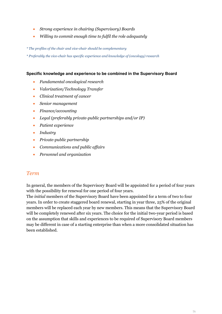- *Strong experience in chairing (Supervisory) Boards*
- *Willing to commit enough time to fulfil the role adequately*

*\* The profiles of the chair and vice-chair should be complementary*

*\* Preferably the vice-chair has specific experience and knowledge of (oncology) research*

#### **Specific knowledge and experience to be combined in the Supervisory Board**

- *Fundamental oncological research*
- *Valorization/Technology Transfer*
- *Clinical treatment of cancer*
- *Senior management*
- *Finance/accounting*
- *Legal (preferably private-public partnerships and/or IP)*
- *Patient experience*
- *Industry*
- *Private-public partnership*
- *Communications and public affairs*
- *Personnel and organization*

#### *Term*

In general, the members of the Supervisory Board will be appointed for a period of four years with the possibility for renewal for one period of four years.

The *initial* members of the Supervisory Board have been appointed for a term of two to four years. In order to create staggered board renewal, starting in year three, 25% of the original members will be replaced each year by new members. This means that the Supervisory Board will be completely renewed after six years. The choice for the initial two-year period is based on the assumption that skills and experiences to be required of Supervisory Board members may be different in case of a starting enterprise than when a more consolidated situation has been established.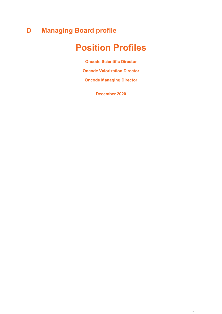# **D Managing Board profile**

# **Position Profiles**

**Oncode Scientific Director**

**Oncode Valorization Director**

**Oncode Managing Director**

**December 2020**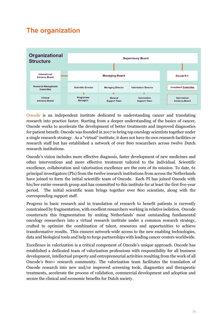## **The organization**



[Oncode](https://www.oncode.nl/) is an independent institute dedicated to understanding cancer and translating research into practice faster. Starting from a deeper understanding of the basics of cancer, Oncode works to accelerate the development of better treatments and improved diagnostics for patient benefit. Oncode was founded in 2017 to bring top oncology scientists together under a single research strategy. As a "virtual" institute, it does not have its own research facilities or research staff but has established a network of over 800 researchers across twelve Dutch research institutions.

Oncode's vision includes more effective diagnosis, faster development of new medicines and other interventions and more effective treatment tailored to the individual. Scientific excellence, collaboration and valorization excellence are the core of its mission. To date, 61 principal investigators (PIs) from the twelve research institutions from across the Netherlands have joined to form the initial scientific team of Oncode. Each PI has joined Oncode with his/her entire research group and has committed to this institute for at least the first five-year period. The initial scientific team brings together over 800 scientists, along with the corresponding support staff.

Progress in basic research and in translation of research to benefit patients is currently constrained by fragmentation, with excellent researchers working in relative isolation. Oncode counteracts this fragmentation by uniting Netherlands' most outstanding fundamental oncology researchers into a virtual research institute under a common research strategy, crafted to optimize the combination of talent, resources and opportunities to achieve transformative results. This ensures network-wide access to the new enabling technologies, data and biological tools and help to forge partnerships with leading cancer centers worldwide.

Excellence in valorization is a critical component of Oncode's unique approach. Oncode has established a dedicated team of valorization professions with responsibility for all business development, intellectual property and entrepreneurial activities resulting from the work of all Oncode's 800+ research community. The valorization team facilitates the translation of Oncode research into new and/or improved screening tools, diagnostics and therapeutic treatments, accelerate the process of validation, commercial development and adoption and secure the clinical and economic benefits for Dutch society.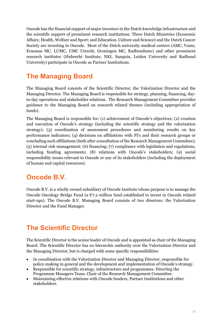Oncode has the financial support of major investors in the Dutch knowledge infrastructure and the scientific support of prominent research institutions. Three Dutch Ministries (Economic Affairs; Health, Welfare and Sport; and Education, Culture and Science) and the Dutch Cancer Society are investing in Oncode. Most of the Dutch university medical centers (AMC, Vumc, Erasmus MC, LUMC, UMC Utrecht, Groningen MC, Radboudumc) and other prominent research institutes (Hubrecht Institute, NKI, Sanquin, Leiden University and Radboud University) participate in Oncode as Partner Institutions.

### **The Managing Board**

The Managing Board consists of the Scientific Director, the Valorization Director and the Managing Director. The Managing Board is responsible for strategy, planning, financing, dayto-day operations and stakeholder relations. The Research Management Committee provides guidance to the Managing Board on research related themes (including appropriation of funds).

The Managing Board is responsible for: (1) achievement of Oncode's objectives; (2) creation and execution of Oncode's strategy (including the scientific strategy and the valorization strategy); (3) coordination of assessment procedures and monitoring results on key performance indicators; (4) decisions on affiliations with PI's and their research groups or concluding such affiliations (both after consultation of the Research Management Committee); (5) internal risk management; (6) financing; (7) compliance with legislation and regulations, including funding agreements; (8) relations with Oncode's stakeholders; (9) social responsibility issues relevant to Oncode or any of its stakeholders (including the deployment of human and capital resources).

### **Oncode B.V.**

Oncode B.V. is a wholly owned subsidiary of Oncode Institute whose purpose is to manage the Oncode Oncology Bridge Fund (a  $\mathfrak{C}7.2$  million fund established to invest in Oncode related start-ups). The Oncode B.V. Managing Board consists of two directors: the Valorization Director and the Fund Manager.

### **The Scientific Director**

The Scientific Director is the senior leader of Oncode and is appointed as chair of the Managing Board. The Scientific Director has no hierarchic authority over the Valorization Director and the Managing Director, but is charged with some specific responsibilities:

- In coordination with the Valorization Director and Managing Director, responsible for policy‐making in general and the development and implementation of Oncode's strategy.
- Responsible for scientific strategy, infrastructure and programmes. Directing the Programme Managers Team. Chair of the Research Management Committee.
- Maintaining effective relations with Oncode funders, Partner Institutions and other stakeholders.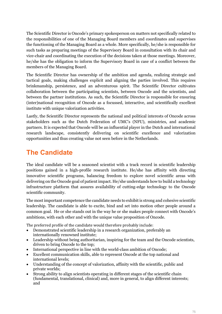The Scientific Director is Oncode's primary spokesperson on matters not specifically related to the responsibilities of one of the Managing Board members and coordinates and supervises the functioning of the Managing Board as a whole. More specifically, he/she is responsible for such tasks as preparing meetings of the Supervisory Board in consultation with its chair and vice-chair and coordinating the execution of the decisions taken at those meetings. Moreover, he/she has the obligation to inform the Supervisory Board in case of a conflict between the members of the Managing Board.

The Scientific Director has ownership of the ambition and agenda, realizing strategic and tactical goals, making challenges explicit and aligning the parties involved. This requires brinkmanship, persistence, and an adventurous spirit. The Scientific Director cultivates collaboration between the participating scientists, between Oncode and the scientists, and between the partner institutions. As such, the Scientific Director is responsible for ensuring (inter)national recognition of Oncode as a focussed, interactive, and scientifically excellent institute with unique valorization activities.

Lastly, the Scientific Director represents the national and political interests of Oncode across stakeholders such as the Dutch Federation of UMC's (NFU), ministries, and academic partners. It is expected that Oncode will be an influential player in the Dutch and international research landscape, consistently delivering on scientific excellence and valorization opportunities and thus creating value not seen before in the Netherlands.

## **The Candidate**

The ideal candidate will be a seasoned scientist with a track record in scientific leadership positions gained in a high-profile research institute. He/she has affinity with directing innovative scientific programs, balancing freedom to explore novel scientific areas with delivering on the Oncode goal of patient impact. He/she understands how to build a technology infrastructure platform that assures availability of cutting-edge technology to the Oncode scientific community.

The most important competence the candidate needs to exhibit is strong and cohesive scientific leadership. The candidate is able to excite, bind and set into motion other people around a common goal. He or she stands out in the way he or she makes people connect with Oncode's ambitions, with each other and with the unique value proposition of Oncode.

The preferred profile of the candidate would therefore probably include:

- Demonstrated scientific leadership in a research organization, preferably an internationally renowned institute;
- Leadership without being authoritarian, inspiring for the team and the Oncode scientists, driven to bring Oncode to the top;
- International perspective in line with the world-class ambition of Oncode;
- Excellent communication skills, able to represent Oncode at the top national and international levels;
- Understanding of the concept of valorization, affinity with the scientific, public and private worlds;
- Strong ability to align scientists operating in different stages of the scientific chain (fundamental, translational, clinical) and, more in general, to align different interests; and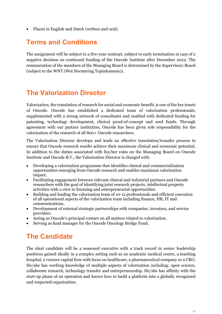• Fluent in English and Dutch (written and oral).

#### **Terms and Conditions**

The assignment will be subject to a five-year contract, subject to early termination in case of a negative decision on continued funding of the Oncode Institute after December 2022. The remuneration of the members of the Managing Board is determined by the Supervisory Board (subject to the WNT (Wet Normering Topinkomens)).

#### **The Valorization Director**

Valorization, the translation of research for social and economic benefit, is one of the key tenets of Oncode. Oncode has established a dedicated team of valorization professionals, supplemented with a strong network of consultants and enabled with dedicated funding for patenting, technology development, clinical proof-of-concept and seed funds. Through agreement with our partner institution, Oncode has been given sole responsibility for the valorization of the research of all 800+ Oncode researchers.

The Valorization Director develops and leads an effective translation/transfer process to ensure that Oncode research results achieve their maximum clinical and economic potential. In addition to the duties associated with his/her roles on the Managing Board on Oncode Institute and Oncode B.V., the Valorization Director is charged with:

- Developing a valorization programme that identifies clinical and commercialization opportunities emerging from Oncode research and enables maximum valorization impact.
- Facilitating engagement between relevant clinical and industrial partners and Oncode researchers with the goal of identifying joint research projects, intellectual property activities with a view to licensing and entrepreneurial opportunities.
- Building and leading the valorization team of 10-12 professionals and efficient execution of all operational aspects of the valorization team including finance, HR, IT and communications.
- Development of external strategic partnerships with companies, investors, and service providers.
- Acting as Oncode's principal contact on all matters related to valorization.
- Serving as fund manager for the Oncode Oncology Bridge Fund.

### **The Candidate**

The ideal candidate will be a seasoned executive with a track record in senior leadership positions gained ideally in a complex setting such as an academic medical centre, a teaching hospital, a venture capital firm with focus on healthcare, a pharmaceutical company or a CRO. He/she has working knowledge of multiple aspects of valorization including: open science, collaborate research, technology transfer and entrepreneurship. He/she has affinity with the start-up phase of an operation and knows how to build a platform into a globally recognized and respected organization.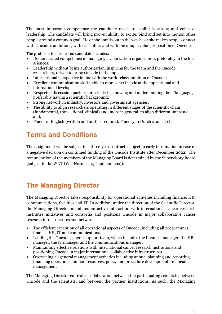The most important competence the candidate needs to exhibit is strong and cohesive leadership. The candidate will bring proven ability to excite, bind and set into motion other people around a common goal. He or she stands out in the way he or she makes people connect with Oncode's ambitions, with each other and with the unique value proposition of Oncode.

The profile of the preferred candidate includes:

- Demonstrated competence in managing a valorization organization, preferably in the life sciences;
- Leadership without being authoritarian, inspiring for the team and the Oncode researchers, driven to bring Oncode to the top;
- International perspective in line with the world-class ambition of Oncode;
- Excellent communication skills, able to represent Oncode at the top national and international levels;
- Respected discussion partner for scientists, knowing and understanding their 'language', preferably having a scientific background;
- Strong network in industry, investors and government agencies.
- The ability to align researchers operating in different stages of the scientific chain (fundamental, translational, clinical) and, more in general, to align different interests; and,
- Fluent in English (written and oral) is required. Fluency in Dutch is an asset.

## **Terms and Conditions**

The assignment will be subject to a three-year contract, subject to early termination in case of a negative decision on continued funding of the Oncode Institute after December 2022. The remuneration of the members of the Managing Board is determined by the Supervisory Board (subject to the WNT (Wet Normering Topinkomens)).

## **The Managing Director**

The Managing Director takes responsibility for operational activities including finance, HR, communications, facilities and IT. In addition, under the direction of the Scientific Director, the Managing Director maintains an active interaction with international cancer research institutes initiatives and consortia and positions Oncode in major collaborative cancer research infrastructures and networks:

- The efficient execution of all operational aspects of Oncode, including all programmes, finance, HR, IT and communications.
- Leading the Oncode general support team, which includes the financial manager, the HR manager, the IT manager and the communications manager.
- Maintaining effective relations with international cancer research institutions and positioning Oncode in major international collaborative infrastructures
- Overseeing all general management activities including annual planning and reporting, financing operations, human resources, policy and procedure development, financial management

The Managing Director cultivates collaboration between the participating scientists, between Oncode and the scientists, and between the partner institutions. As such, the Managing